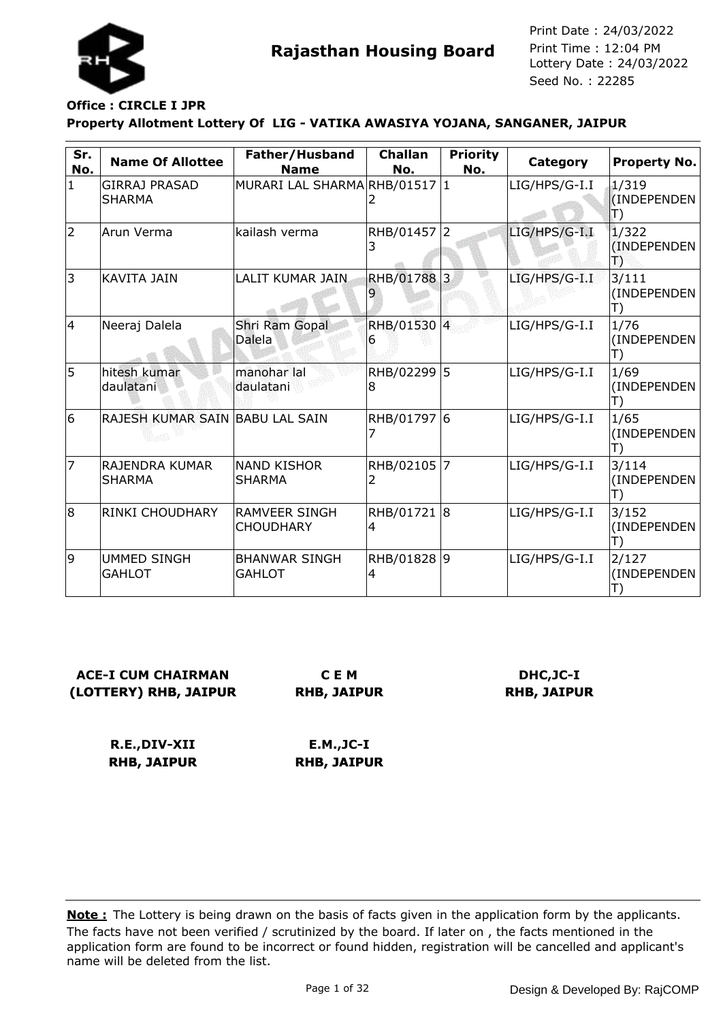

## **Office : CIRCLE I JPR**

#### **Property Allotment Lottery Of LIG - VATIKA AWASIYA YOJANA, SANGANER, JAIPUR**

| Sr.<br>No.   | <b>Name Of Allottee</b>               | Father/Husband<br><b>Name</b>     | <b>Challan</b><br>No. | <b>Priority</b><br>No. | Category        | <b>Property No.</b>                  |
|--------------|---------------------------------------|-----------------------------------|-----------------------|------------------------|-----------------|--------------------------------------|
| $\mathbf{1}$ | <b>GIRRAJ PRASAD</b><br><b>SHARMA</b> | MURARI LAL SHARMA RHB/01517 1     |                       |                        | LIG/HPS/G-I.I   | 1/319<br>(INDEPENDEN<br>$\ket{\top}$ |
| 2            | Arun Verma                            | kailash verma                     | RHB/01457 2<br>3      |                        | LIG/HPS/G-I.I   | 1/322<br>(INDEPENDEN<br>B            |
| 3            | <b>KAVITA JAIN</b>                    | LALIT KUMAR JAIN                  | RHB/01788 3           |                        | $LIG/HPS/G-I.I$ | 3/111<br>(INDEPENDEN<br>T)           |
| 4            | Neeraj Dalela                         | Shri Ram Gopal<br>Dalela          | RHB/01530 4<br>6      |                        | LIG/HPS/G-I.I   | 1/76<br>(INDEPENDEN                  |
| 5            | hitesh kumar<br>daulatani             | manohar lal<br>daulatani          | RHB/02299 5<br>8      |                        | LIG/HPS/G-I.I   | 1/69<br>(INDEPENDEN                  |
| 6            | RAJESH KUMAR SAIN BABU LAL SAIN       |                                   | RHB/01797 6           |                        | LIG/HPS/G-I.I   | 1/65<br>(INDEPENDEN<br>Ш             |
| 17           | RAJENDRA KUMAR<br><b>SHARMA</b>       | <b>NAND KISHOR</b><br>SHARMA      | RHB/02105<br>2        | $\overline{7}$         | LIG/HPS/G-I.I   | 3/114<br>(INDEPENDEN<br>T)           |
| 8            | RINKI CHOUDHARY                       | RAMVEER SINGH<br><b>CHOUDHARY</b> | RHB/01721 8<br>4      |                        | LIG/HPS/G-I.I   | 3/152<br>(INDEPENDEN<br>T)           |
| 9            | <b>UMMED SINGH</b><br><b>GAHLOT</b>   | <b>BHANWAR SINGH</b><br>GAHLOT    | RHB/01828 9<br>4      |                        | LIG/HPS/G-I.I   | 2/127<br>(INDEPENDEN                 |

## **ACE-I CUM CHAIRMAN (LOTTERY) RHB, JAIPUR**

**C E M RHB, JAIPUR**

## **DHC,JC-I RHB, JAIPUR**

**R.E.,DIV-XII RHB, JAIPUR E.M.,JC-I RHB, JAIPUR**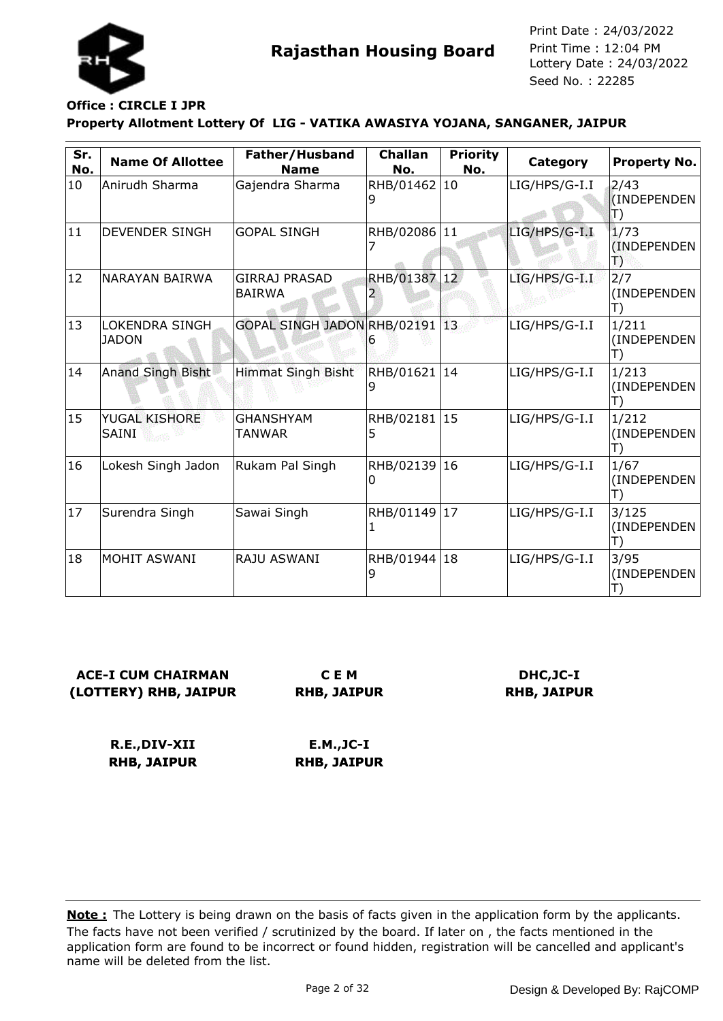

## **Office : CIRCLE I JPR**

#### **Property Allotment Lottery Of LIG - VATIKA AWASIYA YOJANA, SANGANER, JAIPUR**

| Sr.<br>No. | <b>Name Of Allottee</b>               | Father/Husband<br><b>Name</b>         | <b>Challan</b><br>No. | <b>Priority</b><br>No. | Category      | <b>Property No.</b>        |
|------------|---------------------------------------|---------------------------------------|-----------------------|------------------------|---------------|----------------------------|
| 10         | Anirudh Sharma                        | Gajendra Sharma                       | RHB/01462 10<br>9     |                        | LIG/HPS/G-I.I | 2/43<br>(INDEPENDEN<br>Π)  |
| 11         | <b>DEVENDER SINGH</b>                 | <b>GOPAL SINGH</b>                    | RHB/02086 11          |                        | LIG/HPS/G-I.I | 1/73<br>(INDEPENDEN<br>ТЭ  |
| 12         | NARAYAN BAIRWA                        | <b>GIRRAJ PRASAD</b><br><b>BAIRWA</b> | RHB/01387 12          |                        | LIG/HPS/G-I.I | 2/7<br>(INDEPENDEN         |
| 13         | <b>LOKENDRA SINGH</b><br><b>JADON</b> | GOPAL SINGH JADONRHB/02191 13         |                       |                        | LIG/HPS/G-I.I | 1/211<br>(INDEPENDEN<br>T) |
| 14         | <b>Anand Singh Bisht</b>              | <b>Himmat Singh Bisht</b>             | RHB/01621<br>9        | 14                     | LIG/HPS/G-I.I | 1/213<br>(INDEPENDEN       |
| 15         | YUGAL KISHORE<br>SAINI                | <b>GHANSHYAM</b><br>TANWAR            | RHB/02181 15<br>5     |                        | LIG/HPS/G-I.I | 1/212<br>(INDEPENDEN<br>T) |
| 16         | Lokesh Singh Jadon                    | Rukam Pal Singh                       | RHB/02139<br>0        | 16                     | LIG/HPS/G-I.I | 1/67<br>(INDEPENDEN<br>T)  |
| 17         | Surendra Singh                        | Sawai Singh                           | RHB/01149 17          |                        | LIG/HPS/G-I.I | 3/125<br>(INDEPENDEN<br>T) |
| 18         | <b>MOHIT ASWANI</b>                   | RAJU ASWANI                           | RHB/01944 18<br>9     |                        | LIG/HPS/G-I.I | 3/95<br>(INDEPENDEN        |

## **ACE-I CUM CHAIRMAN (LOTTERY) RHB, JAIPUR**

**C E M RHB, JAIPUR**

## **DHC,JC-I RHB, JAIPUR**

**R.E.,DIV-XII RHB, JAIPUR**

**E.M.,JC-I RHB, JAIPUR**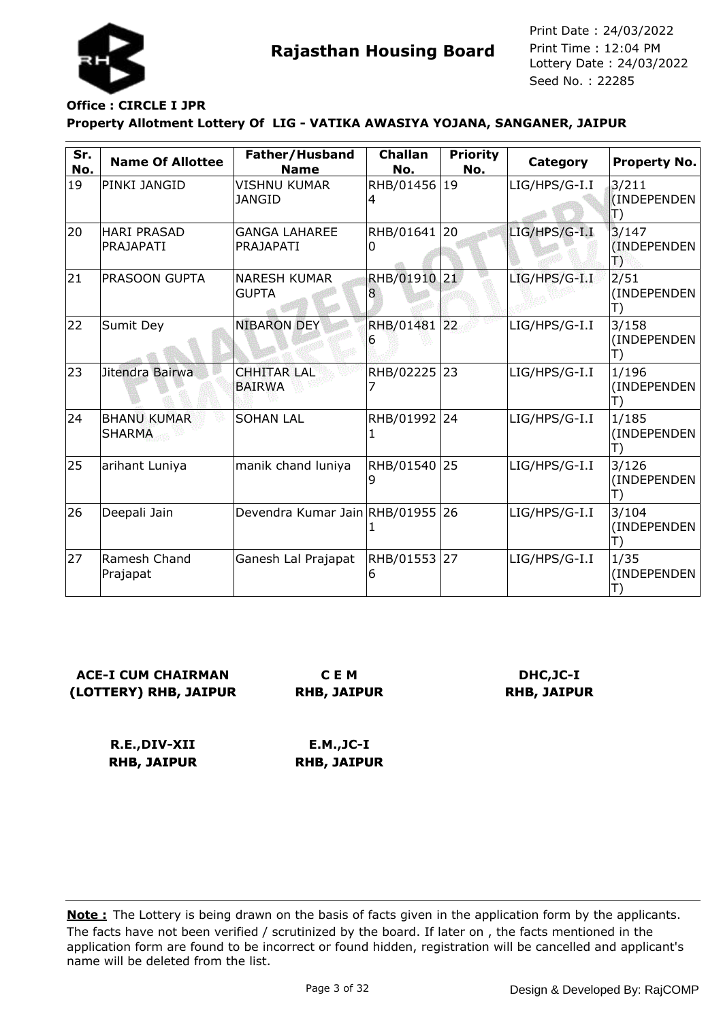

## **Office : CIRCLE I JPR**

#### **Property Allotment Lottery Of LIG - VATIKA AWASIYA YOJANA, SANGANER, JAIPUR**

| Sr.<br>No. | <b>Name Of Allottee</b>             | Father/Husband<br><b>Name</b>       | <b>Challan</b><br>No. | <b>Priority</b><br>No. | Category      | <b>Property No.</b>            |
|------------|-------------------------------------|-------------------------------------|-----------------------|------------------------|---------------|--------------------------------|
| 19         | PINKI JANGID                        | <b>VISHNU KUMAR</b><br>JANGID       | RHB/01456 19<br>4     |                        | LIG/HPS/G-I.I | 3/211<br>(INDEPENDEN<br>T)     |
| 20         | <b>HARI PRASAD</b><br>PRAJAPATI     | <b>GANGA LAHAREE</b><br>PRAJAPATI   | RHB/01641 20<br>0     |                        | LIG/HPS/G-I.I | 3/147<br>(INDEPENDEN<br>T)     |
| 21         | PRASOON GUPTA                       | <b>NARESH KUMAR</b><br><b>GUPTA</b> | <b>RHB/01910</b><br>8 | 21                     | LIG/HPS/G-I.I | 2/51<br>(INDEPENDEN<br>T)      |
| 22         | Sumit Dey                           | <b>NIBARON DEY</b>                  | RHB/01481 22<br>ь     |                        | LIG/HPS/G-I.I | 3/158<br>(INDEPENDEN<br>T)     |
| 23         | Jitendra Bairwa                     | <b>CHHITAR LAL</b><br><b>BAIRWA</b> | RHB/02225 23          |                        | LIG/HPS/G-I.I | 1/196<br>(INDEPENDEN<br>T)     |
| 24         | <b>BHANU KUMAR</b><br><b>SHARMA</b> | <b>SOHAN LAL</b>                    | RHB/01992<br>1        | 24                     | LIG/HPS/G-I.I | 1/185<br>(INDEPENDEN<br>T)     |
| 25         | arihant Luniya                      | manik chand luniya                  | RHB/01540<br>9        | 25                     | LIG/HPS/G-I.I | 3/126<br>(INDEPENDEN<br>$\Box$ |
| 26         | Deepali Jain                        | Devendra Kumar Jain RHB/01955 26    |                       |                        | LIG/HPS/G-I.I | 3/104<br>(INDEPENDEN<br>T)     |
| 27         | Ramesh Chand<br>Prajapat            | Ganesh Lal Prajapat                 | RHB/01553 27<br>6     |                        | LIG/HPS/G-I.I | 1/35<br>(INDEPENDEN            |

## **ACE-I CUM CHAIRMAN (LOTTERY) RHB, JAIPUR**

**C E M RHB, JAIPUR**

## **DHC,JC-I RHB, JAIPUR**

**R.E.,DIV-XII RHB, JAIPUR**

**E.M.,JC-I RHB, JAIPUR**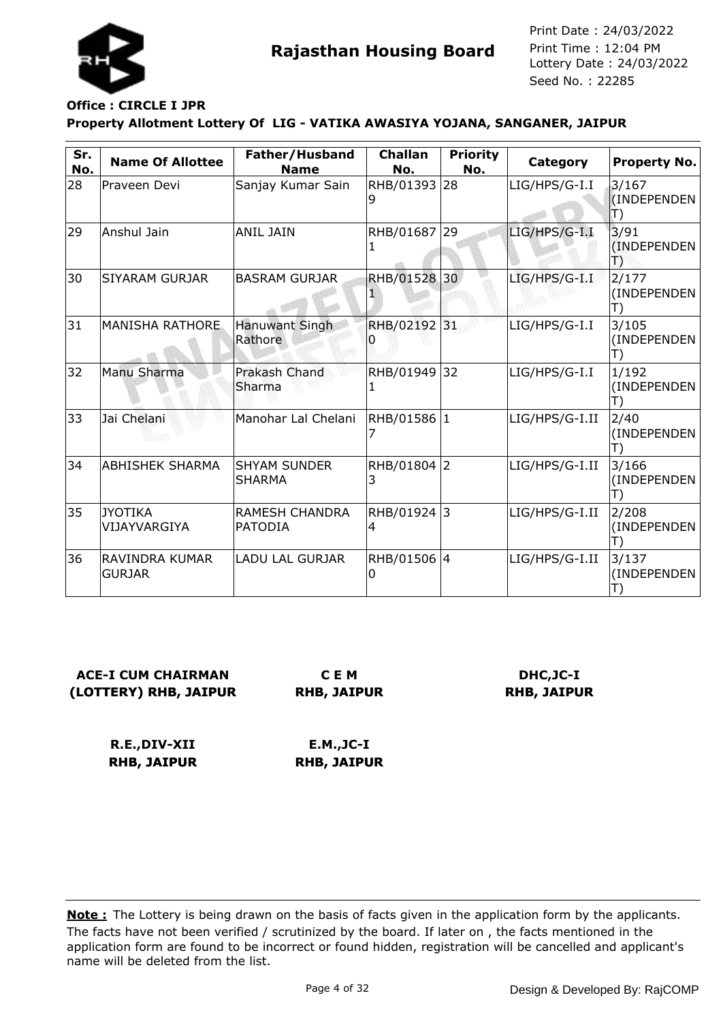

# **Office : CIRCLE I JPR**

#### **Property Allotment Lottery Of LIG - VATIKA AWASIYA YOJANA, SANGANER, JAIPUR**

| Sr.<br>No. | <b>Name Of Allottee</b>         | Father/Husband<br><b>Name</b>    | <b>Challan</b><br>No. | <b>Priority</b><br>No. | Category        | <b>Property No.</b>                  |
|------------|---------------------------------|----------------------------------|-----------------------|------------------------|-----------------|--------------------------------------|
| 28         | Praveen Devi                    | Sanjay Kumar Sain                | RHB/01393 28          |                        | LIG/HPS/G-I.I   | 3/167<br>(INDEPENDEN<br>$\ket{\top}$ |
| 29         | Anshul Jain                     | <b>ANIL JAIN</b>                 | RHB/01687             | 29                     | LIG/HPS/G-I.I   | 3/91<br>(INDEPENDEN<br>B             |
| 30         | SIYARAM GURJAR                  | <b>BASRAM GURJAR</b>             | <b>RHB/01528</b>      | 30                     | $LIG/HPS/G-I.I$ | 2/177<br>(INDEPENDEN                 |
| 31         | <b>MANISHA RATHORE</b>          | Hanuwant Singh<br>Rathore        | RHB/02192 31          |                        | LIG/HPS/G-I.I   | 3/105<br>(INDEPENDEN                 |
| 32         | Manu Sharma                     | Prakash Chand<br>Sharma          | RHB/01949 32<br>1.    |                        | LIG/HPS/G-I.I   | 1/192<br>(INDEPENDEN                 |
| 33         | Jai Chelani                     | Manohar Lal Chelani              | RHB/01586 1           |                        | LIG/HPS/G-I.II  | 2/40<br>(INDEPENDEN                  |
| 34         | <b>ABHISHEK SHARMA</b>          | <b>SHYAM SUNDER</b><br>SHARMA    | RHB/01804 2<br>3      |                        | LIG/HPS/G-I.II  | 3/166<br>(INDEPENDEN<br>$\Box$       |
| 35         | <b>JYOTIKA</b><br>VIJAYVARGIYA  | RAMESH CHANDRA<br><b>PATODIA</b> | RHB/01924 3<br>4      |                        | LIG/HPS/G-I.II  | 2/208<br>(INDEPENDEN<br>T)           |
| 36         | RAVINDRA KUMAR<br><b>GURJAR</b> | <b>LADU LAL GURJAR</b>           | RHB/01506 4<br>O      |                        | LIG/HPS/G-I.II  | 3/137<br>(INDEPENDEN                 |

## **ACE-I CUM CHAIRMAN (LOTTERY) RHB, JAIPUR**

**C E M RHB, JAIPUR**

## **DHC,JC-I RHB, JAIPUR**

**R.E.,DIV-XII RHB, JAIPUR E.M.,JC-I RHB, JAIPUR**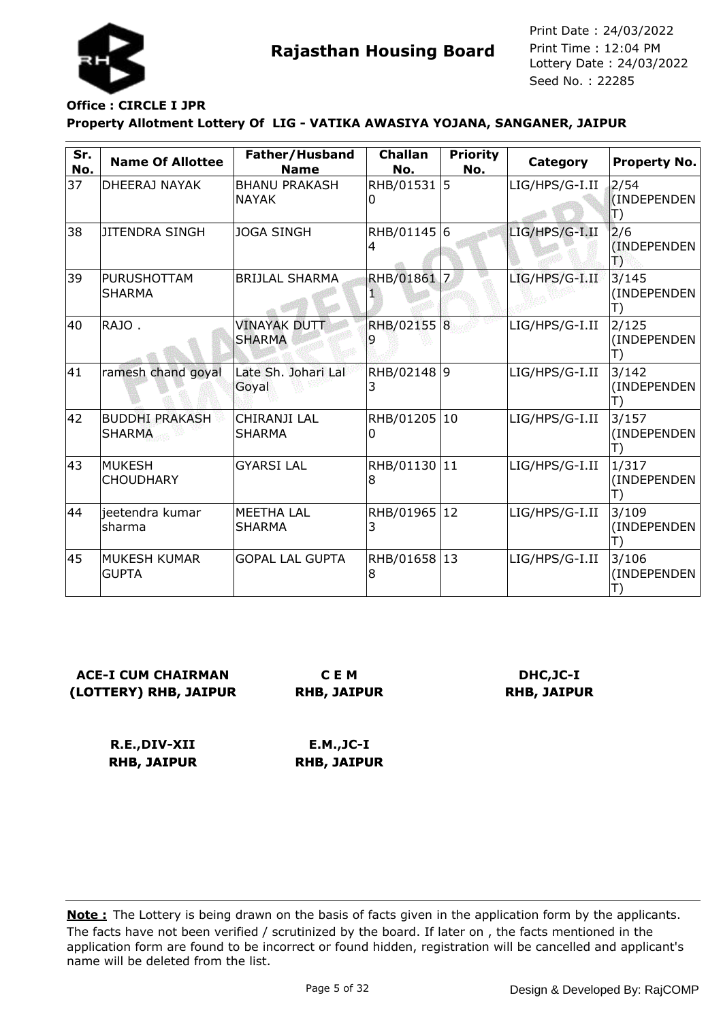

## **Office : CIRCLE I JPR**

#### **Property Allotment Lottery Of LIG - VATIKA AWASIYA YOJANA, SANGANER, JAIPUR**

| Sr.<br>No. | <b>Name Of Allottee</b>                | Father/Husband<br><b>Name</b>        | <b>Challan</b><br>No. | <b>Priority</b><br>No. | Category       | <b>Property No.</b>                 |
|------------|----------------------------------------|--------------------------------------|-----------------------|------------------------|----------------|-------------------------------------|
| 37         | DHEERAJ NAYAK                          | <b>BHANU PRAKASH</b><br><b>NAYAK</b> | RHB/01531<br>0        | 5                      | LIG/HPS/G-I.II | 2/54<br>(INDEPENDEN<br>$\ket{\top}$ |
| 38         | <b>JITENDRA SINGH</b>                  | <b>JOGA SINGH</b>                    | RHB/01145 6<br>4      |                        | LIG/HPS/G-I.II | 2/6<br>(INDEPENDEN<br>B             |
| 39         | <b>PURUSHOTTAM</b><br><b>SHARMA</b>    | <b>BRIJLAL SHARMA</b>                | RHB/01861             | $\mathbb{Z}$           | LIG/HPS/G-I.II | 3/145<br>(INDEPENDEN<br>T)          |
| 40         | RAJO.                                  | <b>VINAYAK DUTT</b><br><b>SHARMA</b> | RHB/02155 8           |                        | LIG/HPS/G-I.II | 2/125<br>(INDEPENDEN<br>T)          |
| 41         | ramesh chand goyal                     | Late Sh. Johari Lal<br>Goyal         | RHB/02148 9<br>3      |                        | LIG/HPS/G-I.II | 3/142<br>(INDEPENDEN<br>T)          |
| 42         | <b>BUDDHI PRAKASH</b><br><b>SHARMA</b> | CHIRANJI LAL<br><b>SHARMA</b>        | RHB/01205 10<br>0     |                        | LIG/HPS/G-I.II | 3/157<br>(INDEPENDEN<br>T)          |
| 43         | <b>MUKESH</b><br><b>CHOUDHARY</b>      | <b>GYARSI LAL</b>                    | RHB/01130 11<br>8     |                        | LIG/HPS/G-I.II | 1/317<br>(INDEPENDEN                |
| 44         | jeetendra kumar<br>sharma              | <b>MEETHA LAL</b><br>SHARMA          | RHB/01965 12<br>3     |                        | LIG/HPS/G-I.II | 3/109<br>(INDEPENDEN<br>$\Box$      |
| 45         | MUKESH KUMAR<br><b>GUPTA</b>           | <b>GOPAL LAL GUPTA</b>               | RHB/01658 13<br>8     |                        | LIG/HPS/G-I.II | 3/106<br>(INDEPENDEN                |

## **ACE-I CUM CHAIRMAN (LOTTERY) RHB, JAIPUR**

**C E M RHB, JAIPUR**

## **DHC,JC-I RHB, JAIPUR**

**R.E.,DIV-XII RHB, JAIPUR E.M.,JC-I RHB, JAIPUR**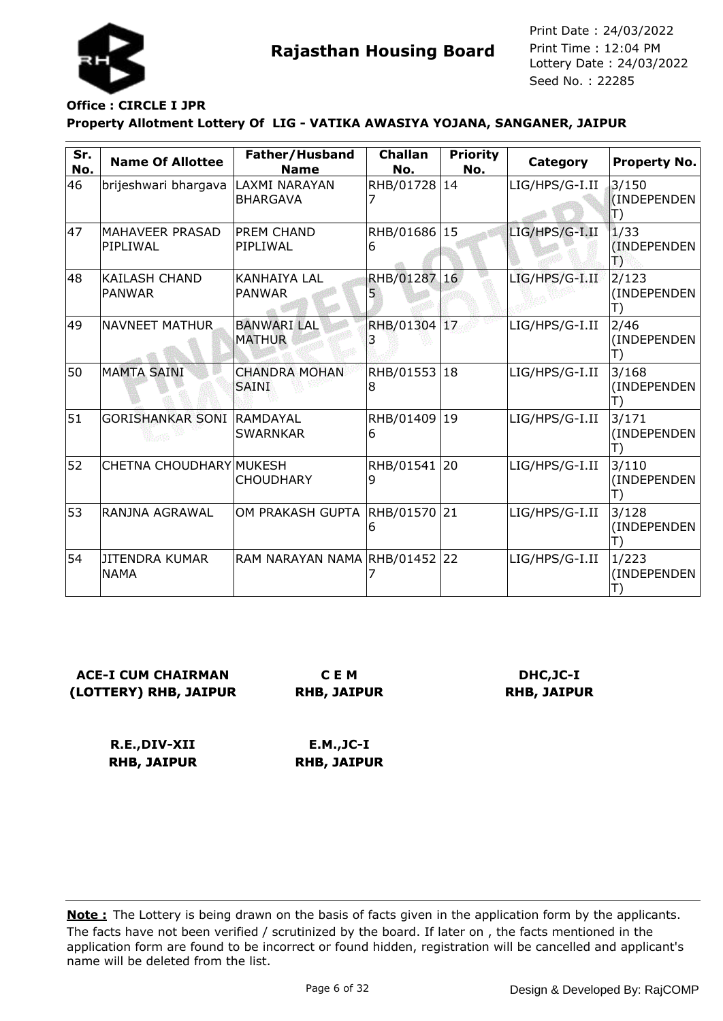

# **Office : CIRCLE I JPR**

#### **Property Allotment Lottery Of LIG - VATIKA AWASIYA YOJANA, SANGANER, JAIPUR**

| Sr.<br>No. | <b>Name Of Allottee</b>               | Father/Husband<br><b>Name</b>        | <b>Challan</b><br>No. | <b>Priority</b><br>No. | Category       | <b>Property No.</b>            |
|------------|---------------------------------------|--------------------------------------|-----------------------|------------------------|----------------|--------------------------------|
| 46         | brijeshwari bhargava                  | LAXMI NARAYAN<br><b>BHARGAVA</b>     | RHB/01728 14          |                        | LIG/HPS/G-I.II | 3/150<br>(INDEPENDEN<br>T)     |
| 47         | <b>MAHAVEER PRASAD</b><br>PIPLIWAL    | <b>PREM CHAND</b><br>PIPLIWAL        | RHB/01686<br>6        | 15                     | LIG/HPS/G-I.II | 1/33<br>(INDEPENDEN<br>B       |
| 48         | <b>KAILASH CHAND</b><br><b>PANWAR</b> | <b>KANHAIYA LAL</b><br><b>PANWAR</b> | <b>RHB/01287</b>      | $ 16\rangle$           | LIG/HPS/G-I.II | 2/123<br>(INDEPENDEN           |
| 49         | <b>NAVNEET MATHUR.</b>                | <b>BANWARI LAL</b><br><b>MATHUR</b>  | RHB/01304 17          |                        | LIG/HPS/G-I.II | 2/46<br>(INDEPENDEN            |
| 50         | <b>MAMTA SAINI</b>                    | <b>CHANDRA MOHAN</b><br><b>SAINI</b> | RHB/01553 18<br>8     |                        | LIG/HPS/G-I.II | 3/168<br>(INDEPENDEN           |
| 51         | <b>GORISHANKAR SONI RAMDAYAL</b>      | <b>SWARNKAR</b>                      | RHB/01409<br>6        | 19                     | LIG/HPS/G-I.II | 3/171<br>(INDEPENDEN           |
| 52         | CHETNA CHOUDHARY MUKESH               | <b>CHOUDHARY</b>                     | RHB/01541<br>9        | 20                     | LIG/HPS/G-I.II | 3/110<br>(INDEPENDEN           |
| 53         | RANJNA AGRAWAL                        | OM PRAKASH GUPTA                     | RHB/01570<br>6        | 21                     | LIG/HPS/G-I.II | 3/128<br>(INDEPENDEN<br>$\Box$ |
| 54         | <b>JITENDRA KUMAR</b><br><b>NAMA</b>  | RAM NARAYAN NAMA RHB/01452 22        |                       |                        | LIG/HPS/G-I.II | 1/223<br>(INDEPENDEN           |

## **ACE-I CUM CHAIRMAN (LOTTERY) RHB, JAIPUR**

**C E M RHB, JAIPUR**

## **DHC,JC-I RHB, JAIPUR**

**R.E.,DIV-XII RHB, JAIPUR**

**E.M.,JC-I RHB, JAIPUR**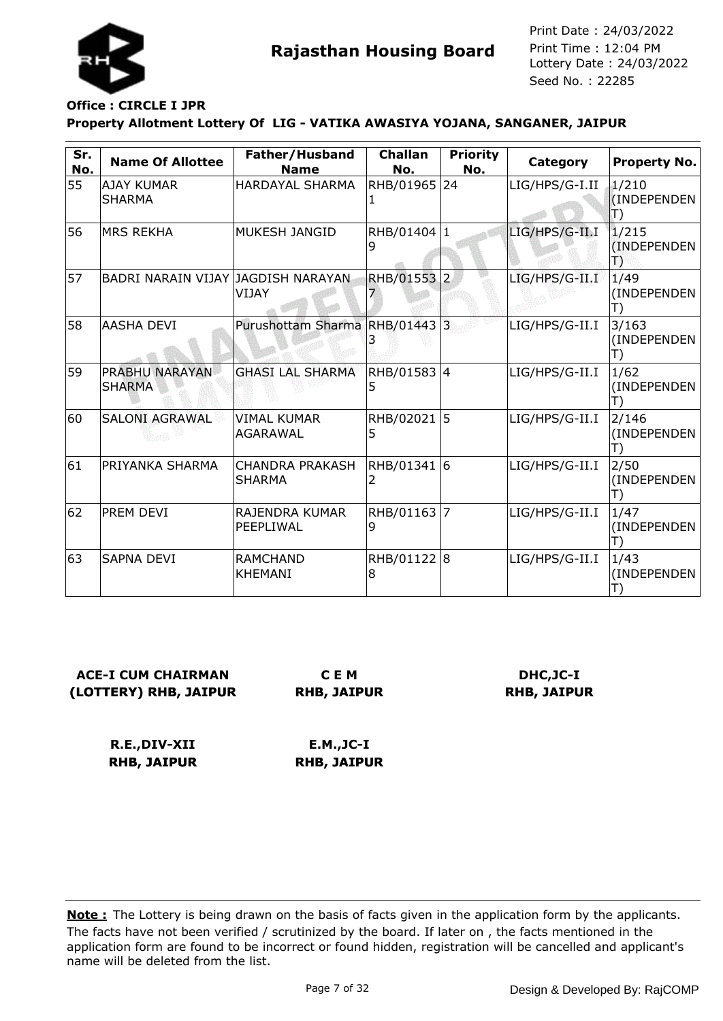

## **Office : CIRCLE I JPR**

**Property Allotment Lottery Of LIG - VATIKA AWASIYA YOJANA, SANGANER, JAIPUR**

| Sr.<br>No. | <b>Name Of Allottee</b>            | Father/Husband<br><b>Name</b>           | <b>Challan</b><br>No. | <b>Priority</b><br>No. | Category       | <b>Property No.</b>                  |
|------------|------------------------------------|-----------------------------------------|-----------------------|------------------------|----------------|--------------------------------------|
| 55         | AJAY KUMAR<br><b>SHARMA</b>        | HARDAYAL SHARMA                         | RHB/01965 24          |                        | LIG/HPS/G-I.II | 1/210<br>(INDEPENDEN<br>$\ket{\top}$ |
| 56         | <b>MRS REKHA</b>                   | MUKESH JANGID                           | RHB/01404 1<br>9      |                        | LIG/HPS/G-II.I | 1/215<br>(INDEPENDEN<br>B            |
| 57         | BADRI NARAIN VIJAY JAGDISH NARAYAN | VIJAY                                   | RHB/01553 2           |                        | LIG/HPS/G-II.I | 1/49<br>(INDEPENDEN<br>T)            |
| 58         | <b>AASHA DEVI</b>                  | Purushottam Sharma                      | RHB/01443 3           |                        | LIG/HPS/G-II.I | 3/163<br>(INDEPENDEN                 |
| 59         | PRABHU NARAYAN<br><b>SHARMA</b>    | <b>GHASI LAL SHARMA</b>                 | RHB/01583 4<br>5      |                        | LIG/HPS/G-II.I | 1/62<br>(INDEPENDEN                  |
| 60         | <b>SALONI AGRAWAL</b>              | <b>VIMAL KUMAR</b><br><b>AGARAWAL</b>   | RHB/02021<br>5        | 5                      | LIG/HPS/G-II.I | 2/146<br>(INDEPENDEN                 |
| 61         | PRIYANKA SHARMA                    | <b>CHANDRA PRAKASH</b><br><b>SHARMA</b> | RHB/01341 6<br>2      |                        | LIG/HPS/G-II.I | 2/50<br>(INDEPENDEN                  |
| 62         | PREM DEVI                          | RAJENDRA KUMAR<br>PEEPLIWAL             | RHB/01163 7<br>9      |                        | LIG/HPS/G-II.I | 1/47<br>(INDEPENDEN<br>T)            |
| 63         | <b>SAPNA DEVI</b>                  | <b>RAMCHAND</b><br><b>KHEMANI</b>       | RHB/01122 8<br>8      |                        | LIG/HPS/G-II.I | 1/43<br>(INDEPENDEN                  |

**ACE-I CUM CHAIRMAN (LOTTERY) RHB, JAIPUR**

**C E M RHB, JAIPUR**

**DHC,JC-I RHB, JAIPUR**

**R.E.,DIV-XII RHB, JAIPUR E.M.,JC-I RHB, JAIPUR**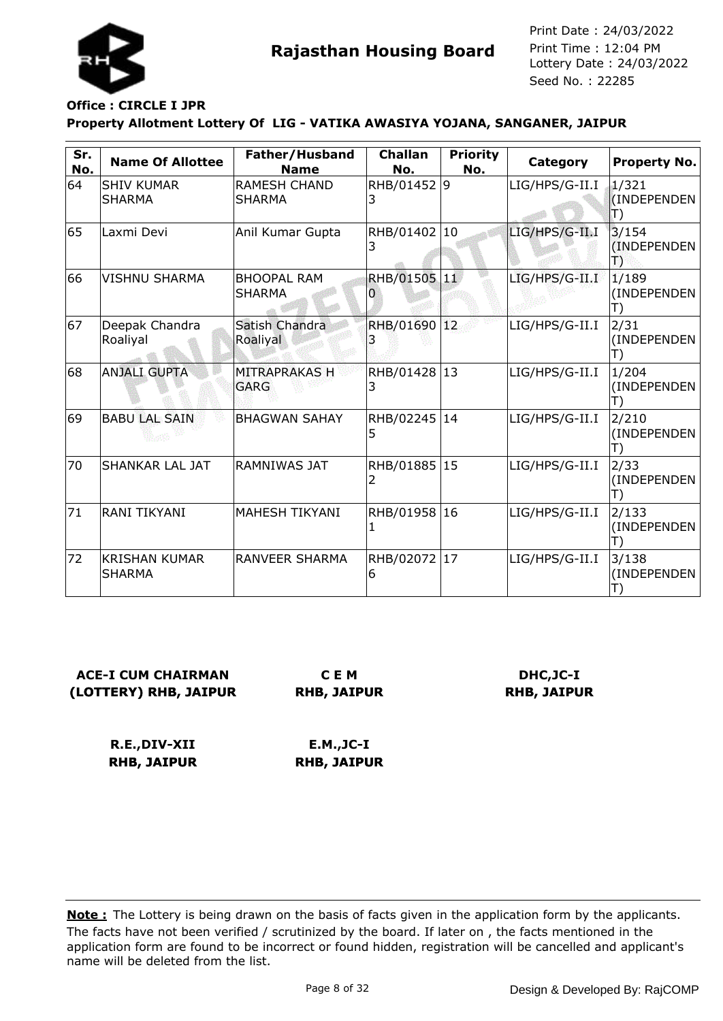

## **Office : CIRCLE I JPR**

#### **Property Allotment Lottery Of LIG - VATIKA AWASIYA YOJANA, SANGANER, JAIPUR**

| Sr.       | <b>Name Of Allottee</b>               | Father/Husband                               | <b>Challan</b>        | <b>Priority</b>    | Category       | <b>Property No.</b>                |
|-----------|---------------------------------------|----------------------------------------------|-----------------------|--------------------|----------------|------------------------------------|
| No.<br>64 | <b>SHIV KUMAR</b><br><b>SHARMA</b>    | <b>Name</b><br><b>RAMESH CHAND</b><br>SHARMA | No.<br>RHB/01452<br>3 | No.<br>$ 9\rangle$ | LIG/HPS/G-II.I | 1/321<br><b>(INDEPENDEN)</b><br>T) |
| 65        | Laxmi Devi                            | Anil Kumar Gupta                             | RHB/01402 10<br>3     |                    | LIG/HPS/G-II.I | 3/154<br>(INDEPENDEN<br>B          |
| 66        | <b>VISHNU SHARMA</b>                  | <b>BHOOPAL RAM</b><br><b>SHARMA</b>          | RHB/01505<br>0        | 1.0                | LIG/HPS/G-II.I | 1/189<br>(INDEPENDEN<br>T)         |
| 67        | Deepak Chandra<br>Roaliyal            | Satish Chandra<br>Roaliyal                   | RHB/01690             | 12                 | LIG/HPS/G-II.I | 2/31<br>(INDEPENDEN                |
| 68        | <b>ANJALI GUPTA</b>                   | <b>MITRAPRAKAS H</b><br><b>GARG</b>          | RHB/01428 13<br>3     |                    | LIG/HPS/G-II.I | 1/204<br>(INDEPENDEN<br>T)         |
| 69        | <b>BABU LAL SAIN</b>                  | <b>BHAGWAN SAHAY</b>                         | RHB/02245<br>5        | 14                 | LIG/HPS/G-II.I | 2/210<br>(INDEPENDEN               |
| 70        | <b>SHANKAR LAL JAT</b>                | <b>RAMNIWAS JAT</b>                          | RHB/01885 15<br>2     |                    | LIG/HPS/G-II.I | 2/33<br>(INDEPENDEN<br>Ш           |
| 71        | RANI TIKYANI                          | <b>MAHESH TIKYANI</b>                        | RHB/01958<br>1        | 16                 | LIG/HPS/G-II.I | 2/133<br>(INDEPENDEN<br>T)         |
| 72        | <b>KRISHAN KUMAR</b><br><b>SHARMA</b> | RANVEER SHARMA                               | RHB/02072 17<br>6     |                    | LIG/HPS/G-II.I | 3/138<br>(INDEPENDEN               |

## **ACE-I CUM CHAIRMAN (LOTTERY) RHB, JAIPUR**

**C E M RHB, JAIPUR**

## **DHC,JC-I RHB, JAIPUR**

**R.E.,DIV-XII RHB, JAIPUR E.M.,JC-I RHB, JAIPUR**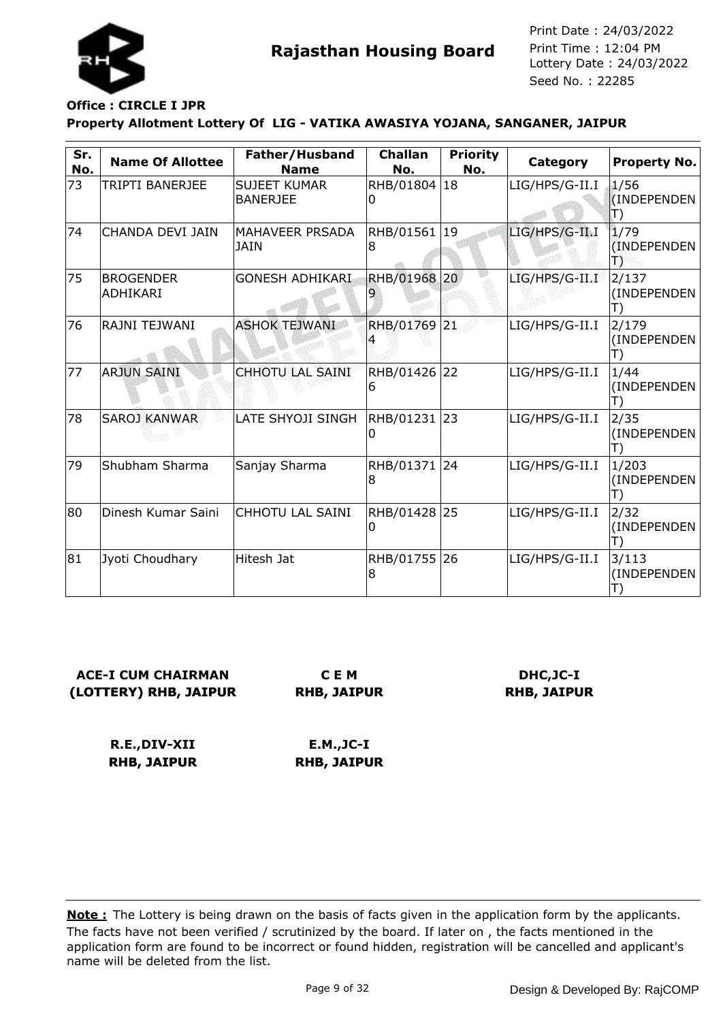

## **Office : CIRCLE I JPR**

#### **Property Allotment Lottery Of LIG - VATIKA AWASIYA YOJANA, SANGANER, JAIPUR**

| Sr.<br>No. | <b>Name Of Allottee</b>             | Father/Husband<br><b>Name</b>          | <b>Challan</b><br>No. | <b>Priority</b><br>No. | Category       | <b>Property No.</b>       |
|------------|-------------------------------------|----------------------------------------|-----------------------|------------------------|----------------|---------------------------|
| 73         | TRIPTI BANERJEE                     | <b>SUJEET KUMAR</b><br><b>BANERJEE</b> | RHB/01804 18<br>0     |                        | LIG/HPS/G-II.I | 1/56<br>(INDEPENDEN       |
| 74         | CHANDA DEVI JAIN                    | MAHAVEER PRSADA<br>JAIN                | RHB/01561 19<br>8     |                        | LIG/HPS/G-II.I | 1/79<br>(INDEPENDEN<br>鳵  |
| 75         | <b>BROGENDER</b><br><b>ADHIKARI</b> | <b>GONESH ADHIKARI</b>                 | RHB/01968 20          |                        | LIG/HPS/G-II.I | 2/137<br>(INDEPENDEN      |
| 76         | RAJNI TEJWANI                       | <b>ASHOK TEJWANI</b>                   | RHB/01769 21          |                        | LIG/HPS/G-II.I | 2/179<br>(INDEPENDEN<br>Ð |
| 77         | <b>ARJUN SAINI</b>                  | CHHOTU LAL SAINI                       | RHB/01426 22<br>6     |                        | LIG/HPS/G-II.I | 1/44<br>(INDEPENDEN       |
| 78         | <b>SAROJ KANWAR</b>                 | LATE SHYOJI SINGH                      | RHB/01231<br>0        | 23                     | LIG/HPS/G-II.I | 2/35<br>(INDEPENDEN       |
| 79         | Shubham Sharma                      | Sanjay Sharma                          | RHB/01371<br>8        | 24                     | LIG/HPS/G-II.I | 1/203<br>(INDEPENDEN<br>Ш |
| 80         | Dinesh Kumar Saini                  | CHHOTU LAL SAINI                       | RHB/01428 25<br>0     |                        | LIG/HPS/G-II.I | 2/32<br>(INDEPENDEN<br>T) |
| 81         | Jyoti Choudhary                     | Hitesh Jat                             | RHB/01755 26<br>8     |                        | LIG/HPS/G-II.I | 3/113<br>(INDEPENDEN      |

**ACE-I CUM CHAIRMAN (LOTTERY) RHB, JAIPUR**

**C E M RHB, JAIPUR**

**DHC,JC-I RHB, JAIPUR**

**R.E.,DIV-XII RHB, JAIPUR E.M.,JC-I RHB, JAIPUR**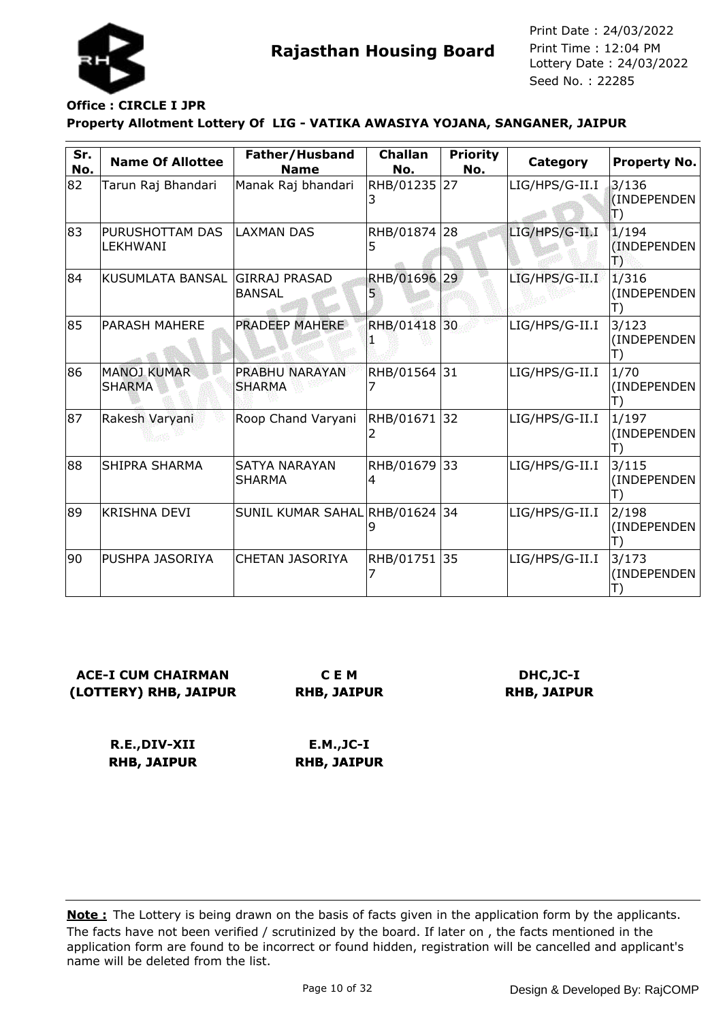

## **Office : CIRCLE I JPR**

#### **Property Allotment Lottery Of LIG - VATIKA AWASIYA YOJANA, SANGANER, JAIPUR**

| Sr.<br>No. | <b>Name Of Allottee</b>      | Father/Husband<br><b>Name</b>          | <b>Challan</b><br>No. | <b>Priority</b><br>No. | Category       | <b>Property No.</b>            |
|------------|------------------------------|----------------------------------------|-----------------------|------------------------|----------------|--------------------------------|
| 82         | Tarun Raj Bhandari           | Manak Raj bhandari                     | RHB/01235 27          |                        | LIG/HPS/G-II.I | 3/136<br>(INDEPENDEN           |
| 83         | PURUSHOTTAM DAS<br>LEKHWANI  | <b>LAXMAN DAS</b>                      | RHB/01874<br>5        | 28                     | LIG/HPS/G-II.I | 1/194<br>(INDEPENDEN<br>18     |
| 84         | KUSUMLATA BANSAL             | <b>GIRRAJ PRASAD</b><br><b>BANSAL</b>  | RHB/01696<br>5        | 29                     | LIG/HPS/G-II.I | 1/316<br>(INDEPENDEN           |
| 85         | <b>PARASH MAHERE</b>         | <b>PRADEEP MAHERE</b>                  | RHB/01418             | 30                     | LIG/HPS/G-II.I | 3/123<br>(INDEPENDEN<br>I)     |
| 86         | <b>MANOJ KUMAR</b><br>SHARMA | <b>PRABHU NARAYAN</b><br><b>SHARMA</b> | RHB/01564             | 31                     | LIG/HPS/G-II.I | 1/70<br>(INDEPENDEN            |
| 87         | Rakesh Varyani               | Roop Chand Varyani                     | RHB/01671<br>2        | 32                     | LIG/HPS/G-II.I | 1/197<br>(INDEPENDEN           |
| 88         | <b>SHIPRA SHARMA</b>         | <b>SATYA NARAYAN</b><br> SHARMA        | RHB/01679<br>4        | 33                     | LIG/HPS/G-II.I | 3/115<br>(INDEPENDEN           |
| 89         | <b>KRISHNA DEVI</b>          | SUNIL KUMAR SAHAL RHB/01624            |                       | 34                     | LIG/HPS/G-II.I | 2/198<br>(INDEPENDEN<br>$\Box$ |
| 90         | PUSHPA JASORIYA              | CHETAN JASORIYA                        | RHB/01751             | 35                     | LIG/HPS/G-II.I | 3/173<br>(INDEPENDEN           |

**ACE-I CUM CHAIRMAN (LOTTERY) RHB, JAIPUR**

**C E M RHB, JAIPUR**

**DHC,JC-I RHB, JAIPUR**

**R.E.,DIV-XII RHB, JAIPUR**

**E.M.,JC-I RHB, JAIPUR**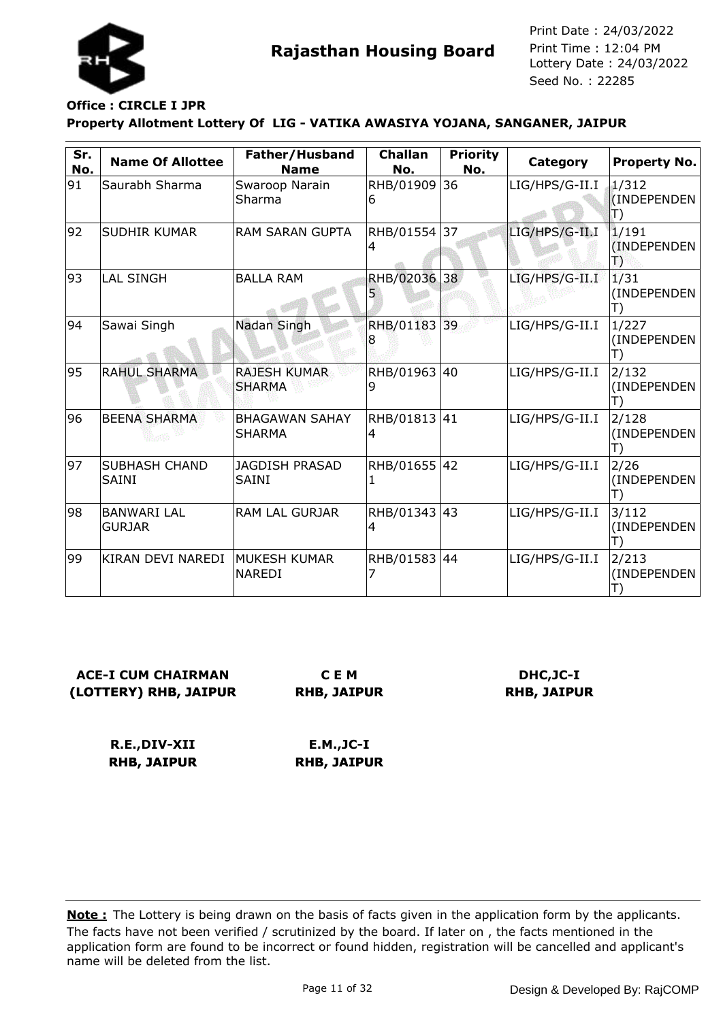

## **Office : CIRCLE I JPR**

#### **Property Allotment Lottery Of LIG - VATIKA AWASIYA YOJANA, SANGANER, JAIPUR**

| Sr.<br>No. | <b>Name Of Allottee</b>              | Father/Husband<br><b>Name</b>         | <b>Challan</b><br>No. | <b>Priority</b><br>No. | Category       | <b>Property No.</b>                  |
|------------|--------------------------------------|---------------------------------------|-----------------------|------------------------|----------------|--------------------------------------|
| 91         | Saurabh Sharma                       | Swaroop Narain<br>Sharma              | RHB/01909<br>6        | 36                     | LIG/HPS/G-II.I | 1/312<br>(INDEPENDEN<br>$\ket{\top}$ |
| 92         | <b>SUDHIR KUMAR</b>                  | RAM SARAN GUPTA                       | RHB/01554 37<br>4     |                        | LIG/HPS/G-II.I | 1/191<br>(INDEPENDEN<br>Ð            |
| 93         | <b>LAL SINGH</b>                     | <b>BALLA RAM</b>                      | RHB/02036<br>5        | 38                     | LIG/HPS/G-II.I | 1/31<br>(INDEPENDEN<br>T)            |
| 94         | Sawai Singh                          | Nadan Singh                           | RHB/01183 39<br>8     |                        | LIG/HPS/G-II.I | 1/227<br>(INDEPENDEN<br>T)           |
| 95         | <b>RAHUL SHARMA</b>                  | <b>RAJESH KUMAR</b><br><b>SHARMA</b>  | RHB/01963<br>9        | 40                     | LIG/HPS/G-II.I | 2/132<br>(INDEPENDEN                 |
| 96         | <b>BEENA SHARMA</b>                  | <b>BHAGAWAN SAHAY</b><br>SHARMA       | RHB/01813<br>4        | 41                     | LIG/HPS/G-II.I | 2/128<br>(INDEPENDEN                 |
| 97         | <b>SUBHASH CHAND</b><br><b>SAINI</b> | <b>JAGDISH PRASAD</b><br><b>SAINI</b> | RHB/01655 42<br>1     |                        | LIG/HPS/G-II.I | 2/26<br>(INDEPENDEN                  |
| 98         | <b>BANWARI LAL</b><br><b>GURJAR</b>  | RAM LAL GURJAR                        | RHB/01343 43<br>4     |                        | LIG/HPS/G-II.I | 3/112<br>(INDEPENDEN<br>$\Box$       |
| 99         | KIRAN DEVI NAREDI                    | MUKESH KUMAR<br><b>NAREDI</b>         | RHB/01583 44          |                        | LIG/HPS/G-II.I | 2/213<br>(INDEPENDEN                 |

## **ACE-I CUM CHAIRMAN (LOTTERY) RHB, JAIPUR**

**C E M RHB, JAIPUR**

## **DHC,JC-I RHB, JAIPUR**

**R.E.,DIV-XII RHB, JAIPUR**

**E.M.,JC-I RHB, JAIPUR**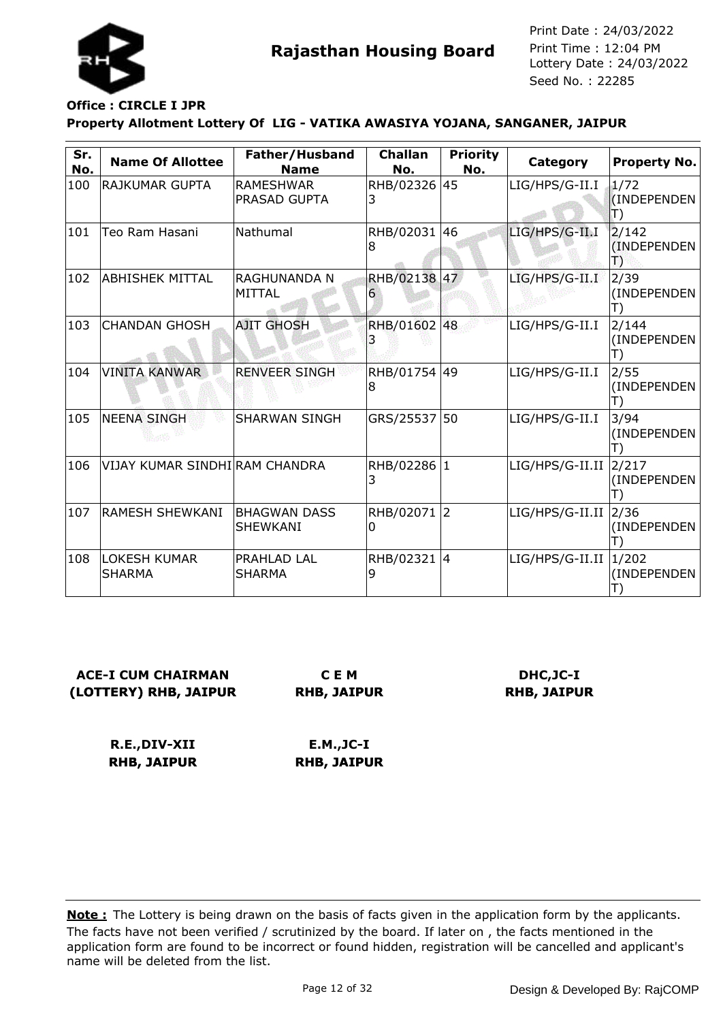

## **Office : CIRCLE I JPR**

#### **Property Allotment Lottery Of LIG - VATIKA AWASIYA YOJANA, SANGANER, JAIPUR**

| Sr.<br>No. | <b>Name Of Allottee</b>              | Father/Husband<br><b>Name</b>           | <b>Challan</b><br>No. | <b>Priority</b><br>No. | Category          | <b>Property No.</b>        |
|------------|--------------------------------------|-----------------------------------------|-----------------------|------------------------|-------------------|----------------------------|
| 100        | RAJKUMAR GUPTA                       | <b>RAMESHWAR</b><br><b>PRASAD GUPTA</b> | RHB/02326 45<br>3.    |                        | LIG/HPS/G-II.I    | 1/72<br>(INDEPENDEN<br>T)  |
| 101        | Teo Ram Hasani                       | Nathumal                                | RHB/02031<br>8        | 46                     | LIG/HPS/G-II.I    | 2/142<br>(INDEPENDEN<br>Ð  |
| 102        | ABHISHEK MITTAL                      | IRAGHUNANDA N<br>MITTAL                 | <b>RHB/02138</b><br>6 | 47                     | LIG/HPS/G-II.I    | 2/39<br>(INDEPENDEN        |
| 103        | <b>CHANDAN GHOSH</b>                 | <b>AJIT GHOSH</b>                       | RHB/01602 48          |                        | LIG/HPS/G-II.I    | 2/144<br>(INDEPENDEN<br>T) |
| 104        | <b>VINITA KANWAR</b>                 | <b>RENVEER SINGH</b>                    | RHB/01754 49<br>8     |                        | LIG/HPS/G-II.I    | 2/55<br>(INDEPENDEN        |
| 105        | <b>NEENA SINGH</b>                   | ISHARWAN SINGH                          | GRS/25537             | 50                     | LIG/HPS/G-II.I    | 3/94<br>(INDEPENDEN        |
| 106        | VIJAY KUMAR SINDHI RAM CHANDRA       |                                         | RHB/02286 1<br>3      |                        | $LIG/HPS/G-II.II$ | 2/217<br>(INDEPENDEN       |
| 107        | <b>RAMESH SHEWKANI</b>               | <b>IBHAGWAN DASS</b><br><b>SHEWKANI</b> | RHB/02071<br>0        | $\overline{2}$         | LIG/HPS/G-II.II   | 2/36<br>(INDEPENDEN        |
| 108        | <b>LOKESH KUMAR</b><br><b>SHARMA</b> | <b>PRAHLAD LAL</b><br><b>SHARMA</b>     | RHB/02321 4           |                        | $LIG/HPS/G-II.II$ | 1/202<br>(INDEPENDEN       |

## **ACE-I CUM CHAIRMAN (LOTTERY) RHB, JAIPUR**

**C E M RHB, JAIPUR**

## **DHC,JC-I RHB, JAIPUR**

**R.E.,DIV-XII RHB, JAIPUR**

**E.M.,JC-I RHB, JAIPUR**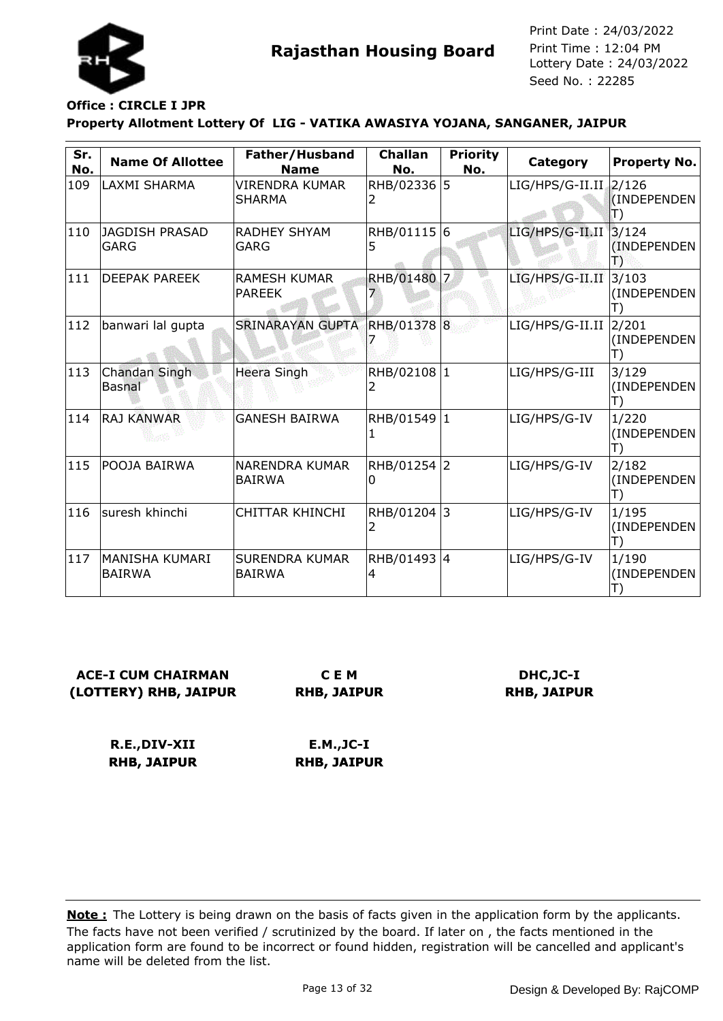

## **Office : CIRCLE I JPR**

#### **Property Allotment Lottery Of LIG - VATIKA AWASIYA YOJANA, SANGANER, JAIPUR**

| Sr.<br>No.    | <b>Name Of Allottee</b>               | Father/Husband<br><b>Name</b>          | <b>Challan</b><br>No. | <b>Priority</b><br>No. | Category                | <b>Property No.</b>        |
|---------------|---------------------------------------|----------------------------------------|-----------------------|------------------------|-------------------------|----------------------------|
| 109           | <b>LAXMI SHARMA</b>                   | <b>VIRENDRA KUMAR</b><br><b>SHARMA</b> | RHB/02336             | 5                      | $LIG/HPS/G-II.II$ 2/126 | (INDEPENDEN<br>T)          |
| 110           | <b>JAGDISH PRASAD</b><br><b>GARG</b>  | <b>RADHEY SHYAM</b><br><b>GARG</b>     | RHB/01115 6<br>5      |                        | LIG/HPS/G-II.II         | 3/124<br>(INDEPENDEN<br>Т  |
| 111           | <b>DEEPAK PAREEK</b>                  | <b>RAMESH KUMAR</b><br><b>PAREEK</b>   | <b>RHB/01480</b>      | 7.                     | LIG/HPS/G-II.II         | 3/103<br>(INDEPENDEN<br>T) |
| 112           | banwari lal gupta                     | <b>SRINARAYAN GUPTA</b>                | RHB/01378 8           |                        | LIG/HPS/G-II.II         | 2/201<br>(INDEPENDEN<br>T) |
| 113           | <b>Chandan Singh</b><br><b>Basnal</b> | <b>Heera Singh</b>                     | RHB/02108 1<br>2      |                        | LIG/HPS/G-III           | 3/129<br>(INDEPENDEN<br>T) |
| 114           | <b>RAJ KANWAR</b>                     | <b>GANESH BAIRWA</b>                   | RHB/01549 1<br>1      |                        | LIG/HPS/G-IV            | 1/220<br>(INDEPENDEN       |
| $ 115\rangle$ | POOJA BAIRWA                          | <b>NARENDRA KUMAR</b><br><b>BAIRWA</b> | RHB/01254 2<br>0      |                        | LIG/HPS/G-IV            | 2/182<br>(INDEPENDEN       |
| 116           | suresh khinchi                        | <b>CHITTAR KHINCHI</b>                 | RHB/01204 3<br>2      |                        | LIG/HPS/G-IV            | 1/195<br>(INDEPENDEN<br>T) |
| 117           | MANISHA KUMARI<br><b>BAIRWA</b>       | <b>SURENDRA KUMAR</b><br><b>BAIRWA</b> | RHB/01493 4<br>4      |                        | LIG/HPS/G-IV            | 1/190<br>(INDEPENDEN       |

**ACE-I CUM CHAIRMAN (LOTTERY) RHB, JAIPUR**

**C E M RHB, JAIPUR**

**DHC,JC-I RHB, JAIPUR**

**R.E.,DIV-XII RHB, JAIPUR**

**E.M.,JC-I RHB, JAIPUR**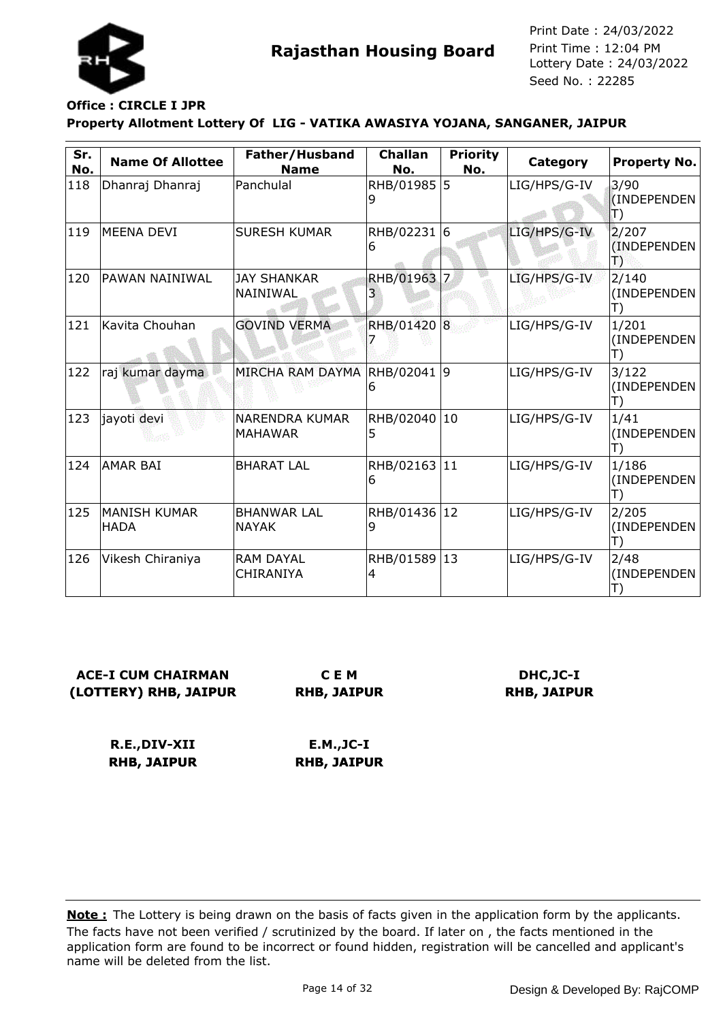

## **Office : CIRCLE I JPR**

#### **Property Allotment Lottery Of LIG - VATIKA AWASIYA YOJANA, SANGANER, JAIPUR**

| Sr.<br>No. | <b>Name Of Allottee</b>            | Father/Husband<br><b>Name</b>           | <b>Challan</b><br>No. | <b>Priority</b><br>No. | Category     | Property No.                        |
|------------|------------------------------------|-----------------------------------------|-----------------------|------------------------|--------------|-------------------------------------|
| 118        | Dhanraj Dhanraj                    | Panchulal                               | RHB/01985 5           |                        | LIG/HPS/G-IV | 3/90<br>(INDEPENDEN<br>$\ket{\top}$ |
| 119        | MEENA DEVI                         | <b>SURESH KUMAR</b>                     | RHB/02231  6<br>6     |                        | LIG/HPS/G-IV | 2/207<br>(INDEPENDEN)<br>慢          |
| 120        | PAWAN NAINIWAL                     | <b>JAY SHANKAR</b><br>NAINIWAL          | RHB/01963             | 7.                     | LIG/HPS/G-IV | 2/140<br>(INDEPENDEN<br>T)          |
| 121        | Kavita Chouhan                     | <b>GOVIND VERMA</b>                     | RHB/01420 8           |                        | LIG/HPS/G-IV | 1/201<br>(INDEPENDEN                |
| 122        | raj kumar dayma                    | MIRCHA RAM DAYMA                        | RHB/02041 9<br>6      |                        | LIG/HPS/G-IV | 3/122<br>(INDEPENDEN<br>T)          |
| 123        | jayoti devi                        | <b>NARENDRA KUMAR</b><br><b>MAHAWAR</b> | RHB/02040  10<br>5    |                        | LIG/HPS/G-IV | 1/41<br>(INDEPENDEN<br>$\Box$       |
| 124        | AMAR BAI                           | <b>BHARAT LAL</b>                       | RHB/02163 11<br>6     |                        | LIG/HPS/G-IV | 1/186<br>(INDEPENDEN<br>T)          |
| 125        | <b>MANISH KUMAR</b><br><b>HADA</b> | <b>BHANWAR LAL</b><br><b>NAYAK</b>      | RHB/01436 12<br>9     |                        | LIG/HPS/G-IV | 2/205<br>(INDEPENDEN<br>T)          |
| 126        | Vikesh Chiraniya                   | <b>RAM DAYAL</b><br>CHIRANIYA           | RHB/01589 13<br>14    |                        | LIG/HPS/G-IV | 2/48<br>(INDEPENDEN                 |

| <b>ACE-I CUM CHAIRMAN</b> | <b>CEM</b>         |
|---------------------------|--------------------|
| (LOTTERY) RHB, JAIPUR     | <b>RHB, JAIPUR</b> |

**DHC,JC-I RHB, JAIPUR**

**R.E.,DIV-XII RHB, JAIPUR E.M.,JC-I RHB, JAIPUR**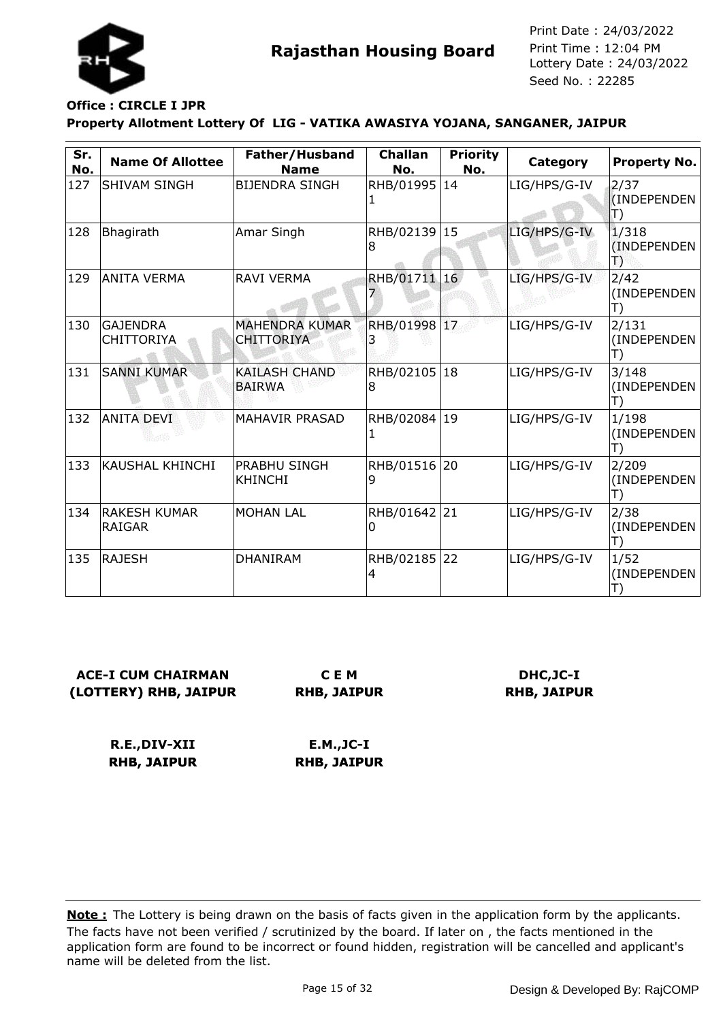

## **Office : CIRCLE I JPR**

**Property Allotment Lottery Of LIG - VATIKA AWASIYA YOJANA, SANGANER, JAIPUR**

| Sr.<br>No. | <b>Name Of Allottee</b>              | Father/Husband<br><b>Name</b>              | <b>Challan</b><br>No. | <b>Priority</b><br>No. | Category     | <b>Property No.</b>                         |
|------------|--------------------------------------|--------------------------------------------|-----------------------|------------------------|--------------|---------------------------------------------|
| 127        | <b>SHIVAM SINGH</b>                  | <b>BIJENDRA SINGH</b>                      | RHB/01995             | 14                     | LIG/HPS/G-IV | 2/37<br>(INDEPENDEN<br>$ \mathsf{T}\rangle$ |
| 128        | Bhagirath                            | Amar Singh                                 | RHB/02139 15<br>8     |                        | LIG/HPS/G-IV | 1/318<br>(INDEPENDEN<br>B                   |
| 129        | ANITA VERMA                          | <b>RAVI VERMA</b>                          | RHB/01711 16          |                        | LIG/HPS/G-IV | 2/42<br>(INDEPENDEN                         |
| 130        | <b>GAJENDRA</b><br><b>CHITTORIYA</b> | <b>MAHENDRA KUMAR</b><br><b>CHITTORIYA</b> | RHB/01998 17          |                        | LIG/HPS/G-IV | 2/131<br>(INDEPENDEN                        |
| 131        | <b>SANNI KUMAR</b>                   | <b>KAILASH CHAND</b><br><b>BAIRWA</b>      | RHB/02105<br>8        | 18                     | LIG/HPS/G-IV | 3/148<br>(INDEPENDEN                        |
| 132        | <b>ANITA DEVI</b>                    | <b>MAHAVIR PRASAD</b>                      | RHB/02084 19<br>1     |                        | LIG/HPS/G-IV | 1/198<br>(INDEPENDEN                        |
| 133        | <b>KAUSHAL KHINCHI</b>               | PRABHU SINGH<br><b>KHINCHI</b>             | RHB/01516<br>9        | 20                     | LIG/HPS/G-IV | 2/209<br>(INDEPENDEN                        |
| 134        | <b>RAKESH KUMAR</b><br><b>RAIGAR</b> | <b>MOHAN LAL</b>                           | RHB/01642<br>0        | 21                     | LIG/HPS/G-IV | 2/38<br>(INDEPENDEN<br>T)                   |
| 135        | RAJESH                               | <b>DHANIRAM</b>                            | RHB/02185 22<br>4     |                        | LIG/HPS/G-IV | 1/52<br>(INDEPENDEN                         |

**ACE-I CUM CHAIRMAN (LOTTERY) RHB, JAIPUR**

**C E M RHB, JAIPUR**

**DHC,JC-I RHB, JAIPUR**

**R.E.,DIV-XII RHB, JAIPUR**

**E.M.,JC-I RHB, JAIPUR**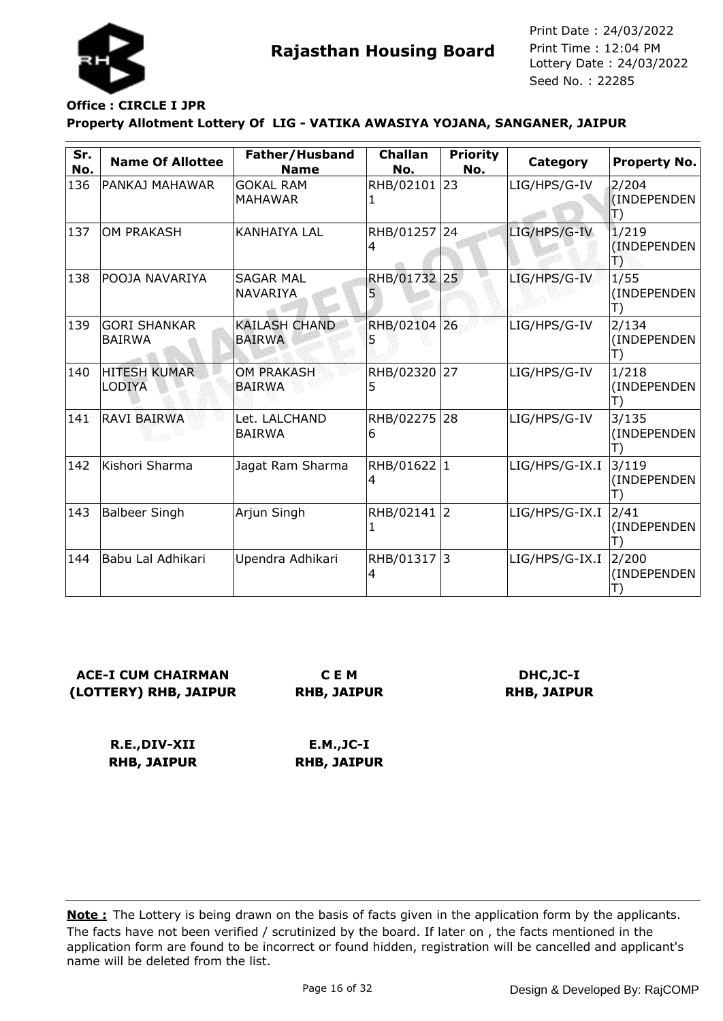

## **Office : CIRCLE I JPR**

#### **Property Allotment Lottery Of LIG - VATIKA AWASIYA YOJANA, SANGANER, JAIPUR**

| Sr.<br>No. | <b>Name Of Allottee</b>              | Father/Husband<br><b>Name</b>         | <b>Challan</b><br>No. | <b>Priority</b><br>No. | Category       | <b>Property No.</b>        |
|------------|--------------------------------------|---------------------------------------|-----------------------|------------------------|----------------|----------------------------|
| 136        | PANKAJ MAHAWAR                       | <b>GOKAL RAM</b><br><b>MAHAWAR</b>    | RHB/02101 23          |                        | LIG/HPS/G-IV   | 2/204<br>(INDEPENDEN<br>T) |
| 137        | <b>OM PRAKASH</b>                    | <b>KANHAIYA LAL</b>                   | RHB/01257 24<br>4     |                        | LIG/HPS/G-IV   | 1/219<br>(INDEPENDEN<br>Ð  |
| 138        | POOJA NAVARIYA                       | <b>SAGAR MAL</b><br><b>NAVARIYA</b>   | RHB/01732<br>5        | 25                     | LIG/HPS/G-IV   | 1/55<br>(INDEPENDEN        |
| 139        | <b>GORI SHANKAR</b><br><b>BAIRWA</b> | <b>KAILASH CHAND</b><br><b>BAIRWA</b> | RHB/02104 26          |                        | LIG/HPS/G-IV   | 2/134<br>(INDEPENDEN<br>T) |
| 140        | <b>HITESH KUMAR</b><br><b>LODIYA</b> | <b>OM PRAKASH</b><br><b>BAIRWA</b>    | RHB/02320<br>5        | 27                     | LIG/HPS/G-IV   | 1/218<br>(INDEPENDEN       |
| 141        | <b>RAVI BAIRWA</b>                   | Let. LALCHAND<br><b>BAIRWA</b>        | RHB/02275<br>6        | 28                     | LIG/HPS/G-IV   | 3/135<br>(INDEPENDEN       |
| 142        | Kishori Sharma                       | Jagat Ram Sharma                      | RHB/01622 1<br>4      |                        | LIG/HPS/G-IX.I | 3/119<br>(INDEPENDEN       |
| 143        | <b>Balbeer Singh</b>                 | Arjun Singh                           | RHB/02141             | 2                      | LIG/HPS/G-IX.I | 2/41<br>(INDEPENDEN        |
| 144        | Babu Lal Adhikari                    | Upendra Adhikari                      | RHB/01317 3<br>4      |                        | LIG/HPS/G-IX.I | 2/200<br>(INDEPENDEN       |

## **ACE-I CUM CHAIRMAN (LOTTERY) RHB, JAIPUR**

**C E M RHB, JAIPUR**

## **DHC,JC-I RHB, JAIPUR**

**R.E.,DIV-XII RHB, JAIPUR**

**E.M.,JC-I RHB, JAIPUR**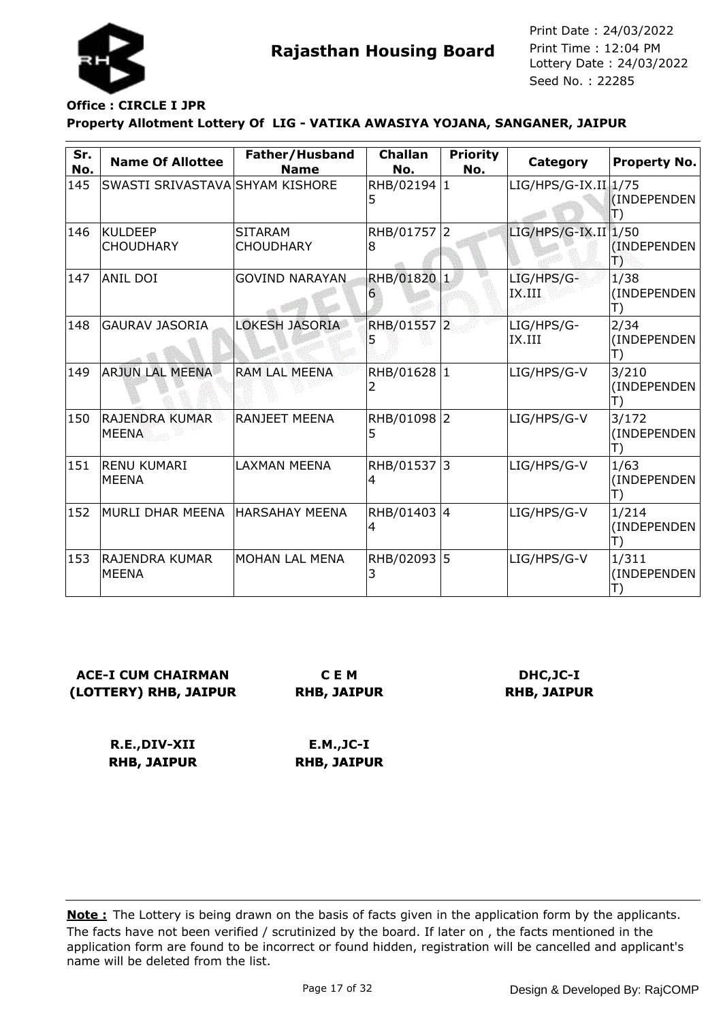

## **Office : CIRCLE I JPR**

#### **Property Allotment Lottery Of LIG - VATIKA AWASIYA YOJANA, SANGANER, JAIPUR**

| Sr.<br>No. | <b>Name Of Allottee</b>               | Father/Husband<br><b>Name</b>      | <b>Challan</b><br>No. | <b>Priority</b><br>No. | Category               | <b>Property No.</b>        |
|------------|---------------------------------------|------------------------------------|-----------------------|------------------------|------------------------|----------------------------|
| 145        | SWASTI SRIVASTAVA SHYAM KISHORE       |                                    | RHB/02194 1<br>5      |                        | $LIG/HPS/G-IX.II 1/75$ | (INDEPENDEN<br>T)          |
| 146        | <b>KULDEEP</b><br><b>CHOUDHARY</b>    | <b>SITARAM</b><br><b>CHOUDHARY</b> | RHB/01757 2<br>8      |                        | $LIG/HPS/G-IX.II 1/50$ | (INDEPENDEN<br>授           |
| 147        | <b>ANIL DOI</b>                       | <b>GOVIND NARAYAN</b>              | RHB/01820 1<br>6      |                        | LIG/HPS/G-<br>IX.III.  | 1/38<br>(INDEPENDEN<br>T)  |
| 148        | <b>GAURAV JASORIA</b>                 | LOKESH JASORIA                     | RHB/01557 2           |                        | LIG/HPS/G-<br>IX.III   | 2/34<br>(INDEPENDEN<br>T)  |
| 149        | ARJUN LAL MEENA                       | <b>RAM LAL MEENA</b>               | RHB/01628 1<br>2      |                        | LIG/HPS/G-V            | 3/210<br>(INDEPENDEN<br>T) |
| 150        | <b>RAJENDRA KUMAR</b><br><b>MEENA</b> | RANJEET MEENA                      | RHB/01098 2<br>5      |                        | LIG/HPS/G-V            | 3/172<br>(INDEPENDEN<br>T) |
| 151        | <b>RENU KUMARI</b><br><b>MEENA</b>    | <b>LAXMAN MEENA</b>                | RHB/01537<br>4        | l3                     | LIG/HPS/G-V            | 1/63<br>(INDEPENDEN<br>T)  |
| 152        | MURLI DHAR MEENA                      | HARSAHAY MEENA                     | RHB/01403<br>4        | 14                     | LIG/HPS/G-V            | 1/214<br>(INDEPENDEN<br>T) |
| 153        | RAJENDRA KUMAR<br><b>MEENA</b>        | MOHAN LAL MENA                     | RHB/02093 5<br>3      |                        | LIG/HPS/G-V            | 1/311<br>(INDEPENDEN       |

| <b>ACE-I CUM CHAIRMAN</b> |      |
|---------------------------|------|
| (LOTTERY) RHB, JAIPUR     | RHB. |

**C E M JAIPUR** 

**DHC,JC-I RHB, JAIPUR**

**R.E.,DIV-XII RHB, JAIPUR E.M.,JC-I RHB, JAIPUR**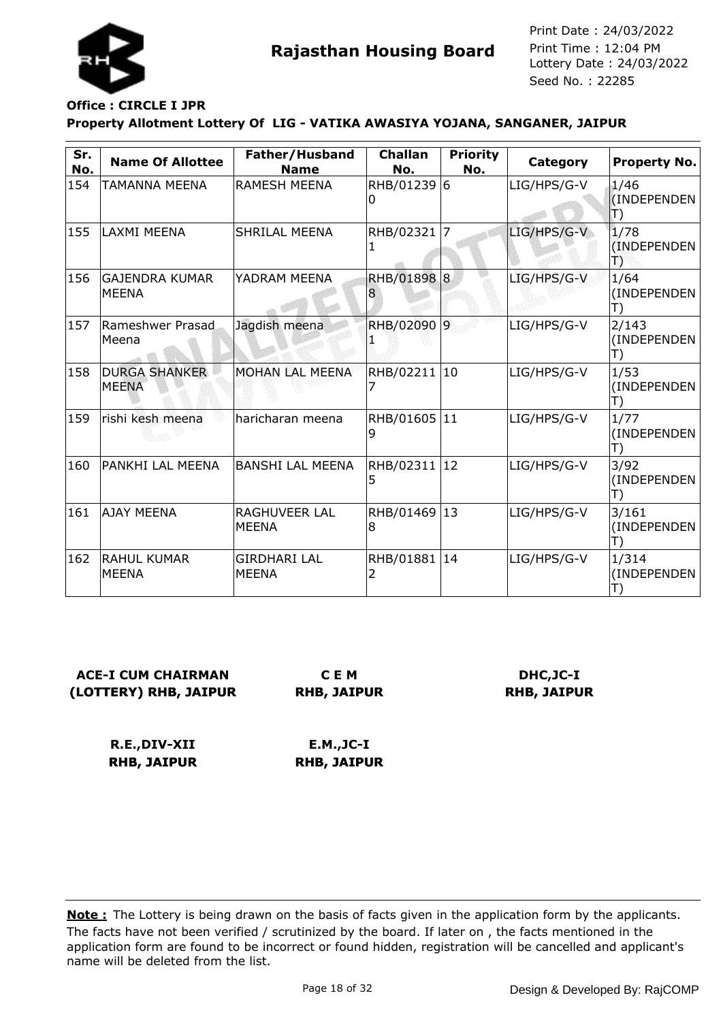

## **Office : CIRCLE I JPR**

#### **Property Allotment Lottery Of LIG - VATIKA AWASIYA YOJANA, SANGANER, JAIPUR**

| Sr. | <b>Name Of Allottee</b>              | Father/Husband                      | <b>Challan</b>    | <b>Priority</b> | Category    | Property No.                                |
|-----|--------------------------------------|-------------------------------------|-------------------|-----------------|-------------|---------------------------------------------|
| No. |                                      | <b>Name</b>                         | No.               | No.             |             |                                             |
| 154 | TAMANNA MEENA                        | <b>RAMESH MEENA</b>                 | RHB/01239 6<br>0  |                 | LIG/HPS/G-V | 1/46<br><b>(INDEPENDEN)</b><br>$\ket{\top}$ |
| 155 | <b>LAXMI MEENA</b>                   | <b>SHRILAL MEENA</b>                | RHB/02321 7       |                 | LIG/HPS/G-V | 1/78<br>(INDEPENDEN<br>B                    |
| 156 | lGAJENDRA KUMAR<br><b>MEENA</b>      | YADRAM MEENA                        | RHB/01898 8<br>8  |                 | LIG/HPS/G-V | 1/64<br>(INDEPENDEN<br>T)                   |
| 157 | Rameshwer Prasad<br>Meena            | Jagdish meena                       | RHB/02090 9       |                 | LIG/HPS/G-V | 2/143<br>(INDEPENDEN<br>T)                  |
| 158 | <b>DURGA SHANKER</b><br><b>MEENA</b> | MOHAN LAL MEENA                     | RHB/02211 10      |                 | LIG/HPS/G-V | 1/53<br>(INDEPENDEN<br>T)                   |
| 159 | rishi kesh meena                     | haricharan meena                    | RHB/01605 11<br>9 |                 | LIG/HPS/G-V | 1/77<br>(INDEPENDEN<br>T)                   |
| 160 | lPANKHI LAL MEENA                    | BANSHI LAL MEENA                    | RHB/02311 12<br>5 |                 | LIG/HPS/G-V | 3/92<br>(INDEPENDEN<br>T)                   |
| 161 | AJAY MEENA                           | <b>RAGHUVEER LAL</b><br>MEENA       | RHB/01469<br>18   | $ 13\rangle$    | LIG/HPS/G-V | 3/161<br>(INDEPENDEN<br>T)                  |
| 162 | <b>RAHUL KUMAR</b><br><b>MEENA</b>   | <b>GIRDHARI LAL</b><br><b>MEENA</b> | RHB/01881 14<br>2 |                 | LIG/HPS/G-V | 1/314<br>(INDEPENDEN                        |

| <b>ACE-I CUM CHAIRMAN</b> |            |
|---------------------------|------------|
| (LOTTERY) RHB, JAIPUR     | <b>RHB</b> |

**C E M RHB, JAIPUR**

**DHC,JC-I RHB, JAIPUR**

**R.E.,DIV-XII RHB, JAIPUR E.M.,JC-I RHB, JAIPUR**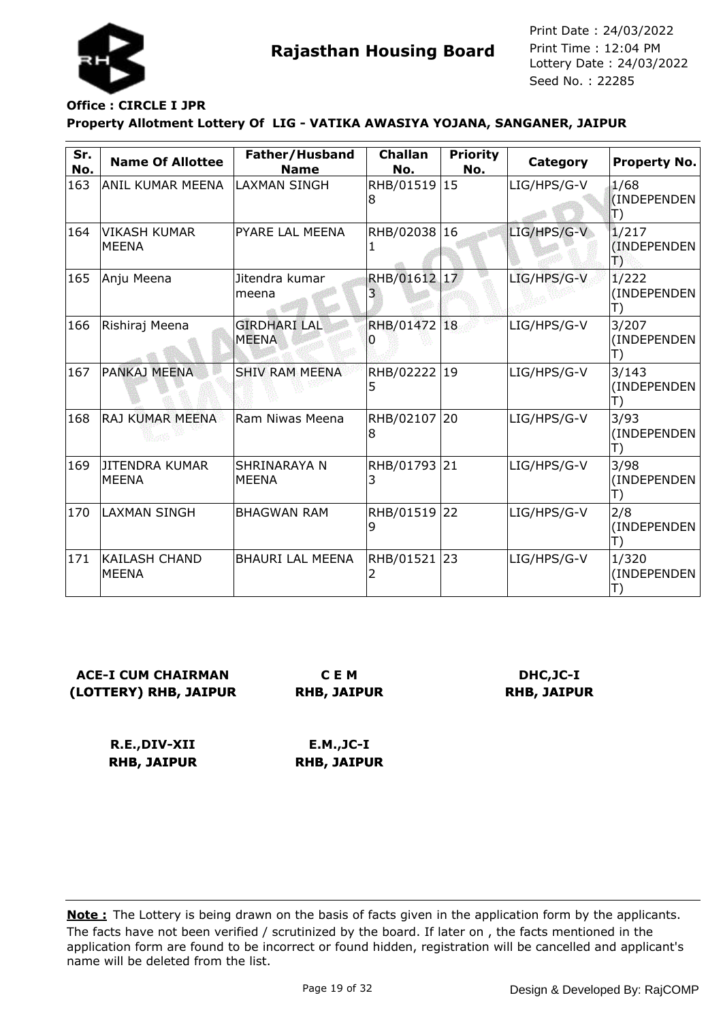

## **Office : CIRCLE I JPR**

#### **Property Allotment Lottery Of LIG - VATIKA AWASIYA YOJANA, SANGANER, JAIPUR**

| Sr.<br>No. | <b>Name Of Allottee</b>               | Father/Husband<br><b>Name</b>       | <b>Challan</b><br>No. | <b>Priority</b><br>No. | Category    | <b>Property No.</b>                  |
|------------|---------------------------------------|-------------------------------------|-----------------------|------------------------|-------------|--------------------------------------|
| 163        | ANIL KUMAR MEENA                      | <b>LAXMAN SINGH</b>                 | RHB/01519 15<br>8     |                        | LIG/HPS/G-V | 1/68<br>(INDEPENDEN<br>$\mathsf{T})$ |
| 164        | <b>VIKASH KUMAR</b><br><b>MEENA</b>   | PYARE LAL MEENA                     | RHB/02038 16          |                        | LIG/HPS/G-V | 1/217<br>(INDEPENDEN<br>Ð            |
| 165        | Anju Meena                            | Jitendra kumar<br>meena             | RHB/01612 17<br>3     |                        | LIG/HPS/G-V | 1/222<br>(INDEPENDEN<br>T)           |
| 166        | Rishiraj Meena                        | <b>GIRDHARI LAL</b><br><b>MEENA</b> | RHB/01472 18          |                        | LIG/HPS/G-V | 3/207<br>(INDEPENDEN                 |
| 167        | <b>PANKAJ MEENA</b>                   | <b>SHIV RAM MEENA</b>               | RHB/02222 19<br>5     |                        | LIG/HPS/G-V | 3/143<br>(INDEPENDEN<br>T)           |
| 168        | RAJ KUMAR MEENA                       | Ram Niwas Meena                     | RHB/02107<br>8        | 20                     | LIG/HPS/G-V | 3/93<br>(INDEPENDEN<br>T)            |
| 169        | <b>JITENDRA KUMAR</b><br><b>MEENA</b> | SHRINARAYA N<br><b>MEENA</b>        | RHB/01793 21<br>3     |                        | LIG/HPS/G-V | 3/98<br>(INDEPENDEN<br>T)            |
| 170        | LAXMAN SINGH                          | <b>BHAGWAN RAM</b>                  | RHB/01519<br>9        | 22                     | LIG/HPS/G-V | 2/8<br>(INDEPENDEN<br>T)             |
| 171        | <b>KAILASH CHAND</b><br><b>MEENA</b>  | <b>BHAURI LAL MEENA</b>             | RHB/01521 23<br>2     |                        | LIG/HPS/G-V | 1/320<br>(INDEPENDEN                 |

## **ACE-I CUM CHAIRMAN (LOTTERY) RHB, JAIPUR**

**C E M RHB, JAIPUR**

## **DHC,JC-I RHB, JAIPUR**

**R.E.,DIV-XII RHB, JAIPUR E.M.,JC-I RHB, JAIPUR**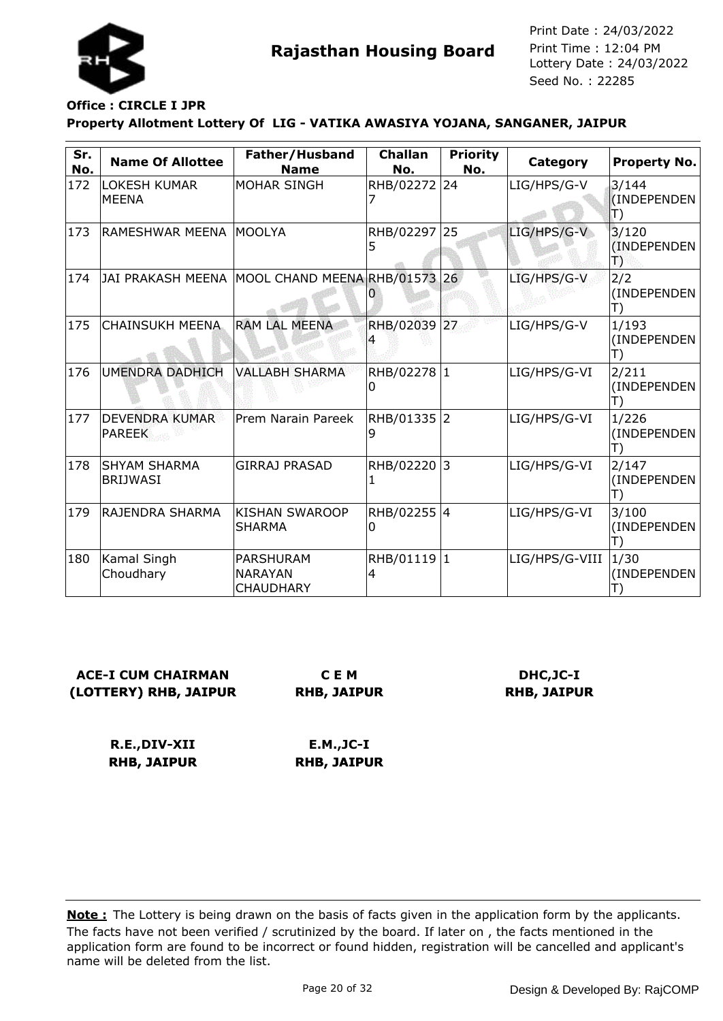

## **Office : CIRCLE I JPR**

#### **Property Allotment Lottery Of LIG - VATIKA AWASIYA YOJANA, SANGANER, JAIPUR**

| Sr.<br>No. | <b>Name Of Allottee</b>                | Father/Husband<br><b>Name</b>                   | <b>Challan</b><br>No. | <b>Priority</b><br>No. | Category       | <b>Property No.</b>                        |
|------------|----------------------------------------|-------------------------------------------------|-----------------------|------------------------|----------------|--------------------------------------------|
| 172        | <b>LOKESH KUMAR</b><br><b>MEENA</b>    | <b>MOHAR SINGH</b>                              | RHB/02272 24          |                        | LIG/HPS/G-V    | 3/144<br>(INDEPENDEN<br>$\ket{\mathsf{T}}$ |
| 173        | RAMESHWAR MEENA   MOOLYA               |                                                 | RHB/02297 25<br>5     |                        | LIG/HPS/G-V    | 3/120<br>(INDEPENDEN<br>Ð                  |
| 174        |                                        | JAI PRAKASH MEENA MOOL CHAND MEENA RHB/01573    |                       | 26                     | LIG/HPS/G-V    | 2/2<br>(INDEPENDEN<br>T)                   |
| 175        | <b>CHAINSUKH MEENA</b>                 | <b>RAM LAL MEENA</b>                            | RHB/02039 27          |                        | LIG/HPS/G-V    | 1/193<br>(INDEPENDEN<br>T)                 |
| 176        | <b>UMENDRA DADHICH</b>                 | <b>VALLABH SHARMA</b>                           | RHB/02278 1<br>0      |                        | LIG/HPS/G-VI   | 2/211<br>(INDEPENDEN                       |
| 177        | <b>DEVENDRA KUMAR</b><br><b>PAREEK</b> | Prem Narain Pareek                              | RHB/01335<br>9        | l2.                    | LIG/HPS/G-VI   | 1/226<br>(INDEPENDEN                       |
| 178        | <b>SHYAM SHARMA</b><br><b>BRIJWASI</b> | <b>GIRRAJ PRASAD</b>                            | RHB/02220<br>1        | l3                     | LIG/HPS/G-VI   | 2/147<br>(INDEPENDEN                       |
| 179        | RAJENDRA SHARMA                        | <b>KISHAN SWAROOP</b><br><b>SHARMA</b>          | RHB/02255 4<br>0      |                        | LIG/HPS/G-VI   | 3/100<br>(INDEPENDEN<br>$\Box$             |
| 180        | Kamal Singh<br>Choudhary               | PARSHURAM<br><b>NARAYAN</b><br><b>CHAUDHARY</b> | RHB/01119 1<br>4      |                        | LIG/HPS/G-VIII | 1/30<br>(INDEPENDEN                        |

## **ACE-I CUM CHAIRMAN (LOTTERY) RHB, JAIPUR**

**C E M RHB, JAIPUR**

## **DHC,JC-I RHB, JAIPUR**

**R.E.,DIV-XII RHB, JAIPUR E.M.,JC-I RHB, JAIPUR**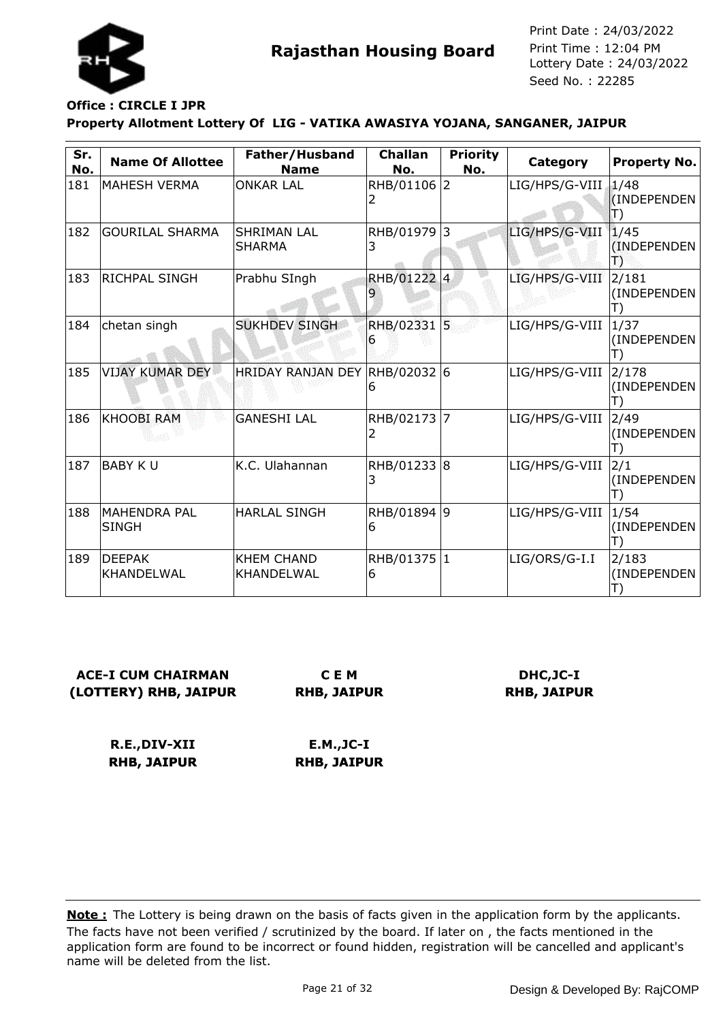

## **Office : CIRCLE I JPR**

#### **Property Allotment Lottery Of LIG - VATIKA AWASIYA YOJANA, SANGANER, JAIPUR**

| Sr.<br>No. | <b>Name Of Allottee</b>             | Father/Husband<br><b>Name</b>       | <b>Challan</b><br>No. | <b>Priority</b><br>No. | Category       | <b>Property No.</b>       |
|------------|-------------------------------------|-------------------------------------|-----------------------|------------------------|----------------|---------------------------|
| 181        | <b>MAHESH VERMA</b>                 | <b>ONKAR LAL</b>                    | RHB/01106 2           |                        | LIG/HPS/G-VIII | 1/48<br>(INDEPENDEN<br>T) |
| 182        | <b>GOURILAL SHARMA</b>              | <b>SHRIMAN LAL</b><br><b>SHARMA</b> | RHB/01979 3<br>3      |                        | LIG/HPS/G-VIII | 1/45<br>(INDEPENDEN<br>慢  |
| 183        | RICHPAL SINGH                       | Prabhu SIngh                        | RHB/01222 4           |                        | LIG/HPS/G-VIII | 2/181<br>(INDEPENDEN      |
| 184        | chetan singh                        | <b>SUKHDEV SINGH</b>                | RHB/02331 5           |                        | LIG/HPS/G-VIII | 1/37<br>(INDEPENDEN       |
| 185        | VIJAY KUMAR DEY                     | HRIDAY RANJAN DEY RHB/02032 6       | 6                     |                        | LIG/HPS/G-VIII | 2/178<br>(INDEPENDEN      |
| 186        | <b>KHOOBI RAM</b>                   | <b>GANESHI LAL</b>                  | RHB/02173 7           |                        | LIG/HPS/G-VIII | 2/49<br>(INDEPENDEN       |
| 187        | <b>BABY KU</b>                      | K.C. Ulahannan                      | RHB/01233 8<br>3      |                        | LIG/HPS/G-VIII | 2/1<br>(INDEPENDEN        |
| 188        | <b>MAHENDRA PAL</b><br><b>SINGH</b> | <b>HARLAL SINGH</b>                 | RHB/01894 9<br>6      |                        | LIG/HPS/G-VIII | 1/54<br>(INDEPENDEN       |
| 189        | <b>DEEPAK</b><br>KHANDELWAL         | <b>KHEM CHAND</b><br>KHANDELWAL     | RHB/01375 1<br>6      |                        | LIG/ORS/G-I.I  | 2/183<br>(INDEPENDEN      |

## **ACE-I CUM CHAIRMAN (LOTTERY) RHB, JAIPUR**

**C E M RHB, JAIPUR**

## **DHC,JC-I RHB, JAIPUR**

**R.E.,DIV-XII RHB, JAIPUR E.M.,JC-I RHB, JAIPUR**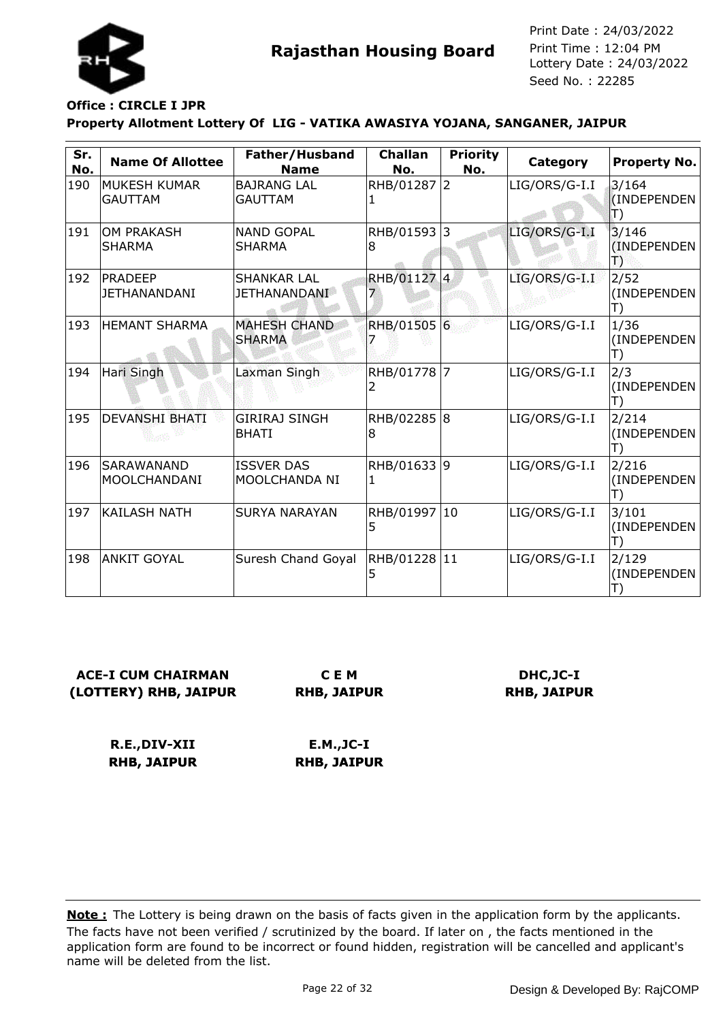

## **Office : CIRCLE I JPR**

#### **Property Allotment Lottery Of LIG - VATIKA AWASIYA YOJANA, SANGANER, JAIPUR**

| Sr.<br>No. | <b>Name Of Allottee</b>            | Father/Husband<br><b>Name</b>             | <b>Challan</b><br>No. | <b>Priority</b><br>No. | Category      | Property No.                               |
|------------|------------------------------------|-------------------------------------------|-----------------------|------------------------|---------------|--------------------------------------------|
| 190        | MUKESH KUMAR<br><b>GAUTTAM</b>     | <b>BAJRANG LAL</b><br><b>GAUTTAM</b>      | RHB/01287 2           |                        | LIG/ORS/G-I.I | 3/164<br>(INDEPENDEN<br>$\ket{\mathsf{T}}$ |
| 191        | <b>OM PRAKASH</b><br><b>SHARMA</b> | <b>NAND GOPAL</b><br><b>SHARMA</b>        | RHB/01593 3<br>18     |                        | LIG/ORS/G-I.I | 3/146<br>(INDEPENDEN<br>Ð                  |
| 192        | <b>PRADEEP</b><br>JETHANANDANI     | <b>SHANKAR LAL</b><br><b>JETHANANDANI</b> | RHB/01127 4           |                        | LIG/ORS/G-I.I | 2/52<br>(INDEPENDEN                        |
| 193        | <b>HEMANT SHARMA</b>               | <b>MAHESH CHAND</b><br><b>SHARMA</b>      | RHB/01505 6           |                        | LIG/ORS/G-I.I | 1/36<br>(INDEPENDEN<br>T)                  |
| 194        | Hari Singh                         | Laxman Singh                              | RHB/01778 7<br>2      |                        | LIG/ORS/G-I.I | 2/3<br>(INDEPENDEN                         |
| 195        | <b>DEVANSHI BHATI</b>              | <b>GIRIRAJ SINGH</b><br>BHATI             | RHB/02285 8<br>18     |                        | LIG/ORS/G-I.I | 2/214<br>(INDEPENDEN                       |
| 196        | <b>SARAWANAND</b><br>MOOLCHANDANI  | <b>ISSVER DAS</b><br>MOOLCHANDA NI        | RHB/01633<br>1        | 9                      | LIG/ORS/G-I.I | 2/216<br>(INDEPENDEN<br>Ш                  |
| 197        | <b>KAILASH NATH</b>                | <b>SURYA NARAYAN</b>                      | RHB/01997 10<br>5     |                        | LIG/ORS/G-I.I | 3/101<br>(INDEPENDEN<br>T)                 |
| 198        | ANKIT GOYAL                        | Suresh Chand Goyal                        | RHB/01228 11<br>5     |                        | LIG/ORS/G-I.I | 2/129<br>(INDEPENDEN                       |

## **ACE-I CUM CHAIRMAN (LOTTERY) RHB, JAIPUR**

**C E M RHB, JAIPUR**

## **DHC,JC-I RHB, JAIPUR**

**R.E.,DIV-XII RHB, JAIPUR**

**E.M.,JC-I RHB, JAIPUR**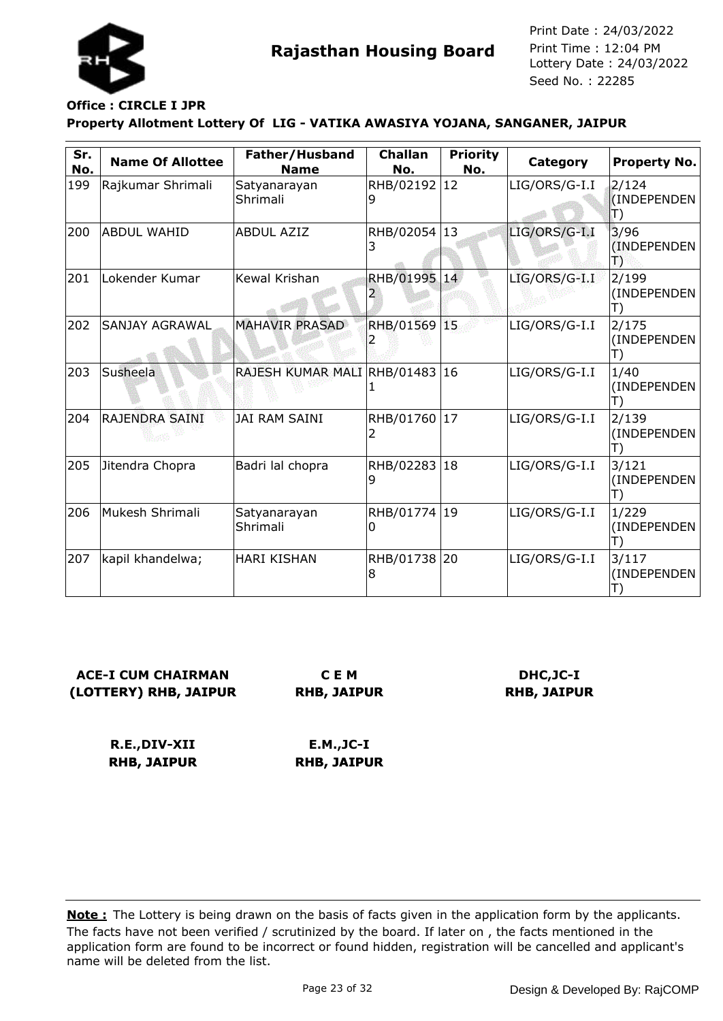

## **Office : CIRCLE I JPR**

#### **Property Allotment Lottery Of LIG - VATIKA AWASIYA YOJANA, SANGANER, JAIPUR**

| Sr.<br>No. | <b>Name Of Allottee</b> | Father/Husband<br><b>Name</b>  | <b>Challan</b><br>No. | <b>Priority</b><br>No. | Category      | Property No.                             |
|------------|-------------------------|--------------------------------|-----------------------|------------------------|---------------|------------------------------------------|
| 199        | Rajkumar Shrimali       | Satyanarayan<br>Shrimali       | RHB/02192 12<br>9     |                        | LIG/ORS/G-I.I | 2/124<br>(INDEPENDEN<br>$\ket{\!\!\top}$ |
| 200        | <b>ABDUL WAHID</b>      | <b>ABDUL AZIZ</b>              | RHB/02054<br>3        | 13                     | LIG/ORS/G-I.I | 3/96<br>(INDEPENDEN<br>鳵                 |
| 201        | Lokender Kumar          | Kewal Krishan                  | RHB/01995 14          |                        | LIG/ORS/G-I.I | 2/199<br>(INDEPENDEN<br>$\Box$           |
| 202        | <b>SANJAY AGRAWAL</b>   | <b>MAHAVIR PRASAD</b>          | RHB/01569 15          |                        | LIG/ORS/G-I.I | 2/175<br>(INDEPENDEN                     |
| 203        | Susheela                | RAJESH KUMAR MALI RHB/01483 16 |                       |                        | LIG/ORS/G-I.I | 1/40<br>(INDEPENDEN                      |
| 204        | <b>RAJENDRA SAINI</b>   | <b>JAI RAM SAINI</b>           | RHB/01760 17<br>2     |                        | LIG/ORS/G-I.I | 2/139<br>(INDEPENDEN<br>Ш                |
| 205        | Jitendra Chopra         | Badri lal chopra               | RHB/02283 18<br>9     |                        | LIG/ORS/G-I.I | 3/121<br>(INDEPENDEN<br>Ш                |
| 206        | Mukesh Shrimali         | Satyanarayan<br>Shrimali       | RHB/01774 19<br>0     |                        | LIG/ORS/G-I.I | 1/229<br>(INDEPENDEN<br>T)               |
| 207        | kapil khandelwa;        | <b>HARI KISHAN</b>             | RHB/01738 20<br>8     |                        | LIG/ORS/G-I.I | 3/117<br>(INDEPENDEN                     |

**ACE-I CUM CHAIRMAN (LOTTERY) RHB, JAIPUR**

**C E M RHB, JAIPUR**

**DHC,JC-I RHB, JAIPUR**

**R.E.,DIV-XII RHB, JAIPUR E.M.,JC-I RHB, JAIPUR**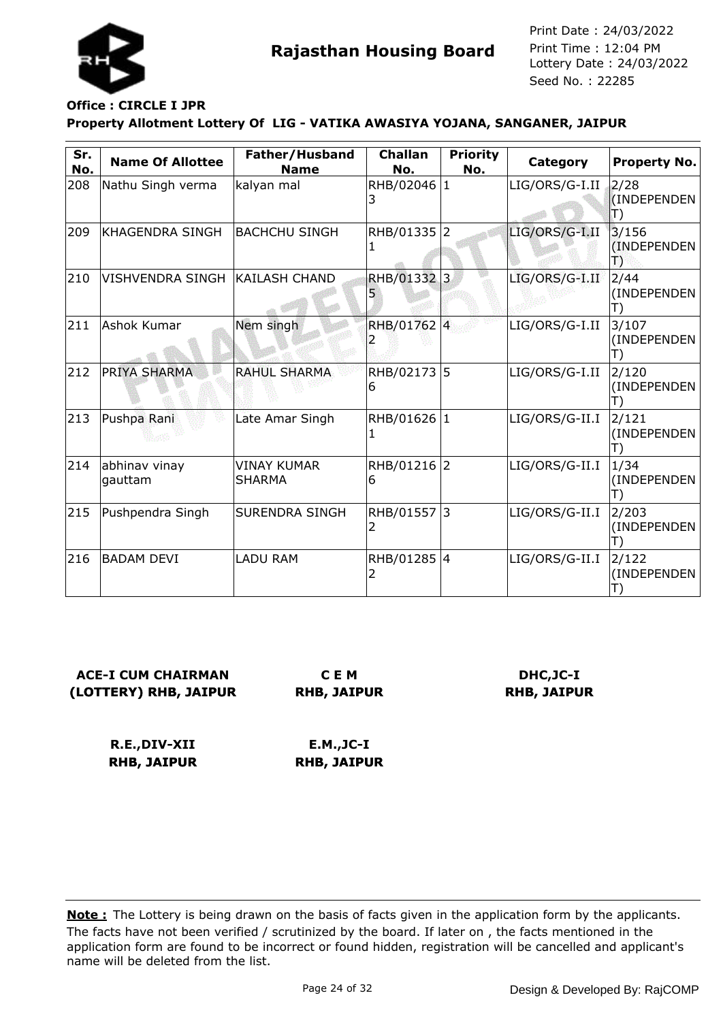

## **Office : CIRCLE I JPR**

#### **Property Allotment Lottery Of LIG - VATIKA AWASIYA YOJANA, SANGANER, JAIPUR**

| Sr.<br>No. | <b>Name Of Allottee</b>        | Father/Husband<br><b>Name</b> | <b>Challan</b><br>No. | <b>Priority</b><br>No. | Category       | <b>Property No.</b>            |
|------------|--------------------------------|-------------------------------|-----------------------|------------------------|----------------|--------------------------------|
| 208        | Nathu Singh verma              | kalyan mal                    | RHB/02046 1<br>3.     |                        | LIG/ORS/G-I.II | 2/28<br>(INDEPENDEN            |
| 209        | KHAGENDRA SINGH                | <b>BACHCHU SINGH</b>          | RHB/01335 2           |                        | LIG/ORS/G-I.II | 3/156<br>(INDEPENDEN<br>鳵      |
| 210        | VISHVENDRA SINGH KAILASH CHAND |                               | RHB/01332<br>5        | $\overline{3}$         | LIG/ORS/G-I.II | 2/44<br>(INDEPENDEN            |
| 211        | Ashok Kumar                    | Nem singh                     | RHB/01762 4           |                        | LIG/ORS/G-I.II | 3/107<br>(INDEPENDEN           |
| 212        | PRIYA SHARMA                   | <b>RAHUL SHARMA</b>           | RHB/02173<br>6        | 15                     | LIG/ORS/G-I.II | 2/120<br>(INDEPENDEN           |
| 213        | Pushpa Rani                    | Late Amar Singh               | RHB/01626 1<br>1      |                        | LIG/ORS/G-II.I | 2/121<br>(INDEPENDEN           |
| 214        | abhinav vinay<br>gauttam       | <b>VINAY KUMAR</b><br>SHARMA  | RHB/01216 2<br>6      |                        | LIG/ORS/G-II.I | 1/34<br>(INDEPENDEN            |
| 215        | Pushpendra Singh               | <b>SURENDRA SINGH</b>         | RHB/01557 3<br>2      |                        | LIG/ORS/G-II.I | 2/203<br>(INDEPENDEN<br>$\Box$ |
| 216        | <b>BADAM DEVI</b>              | <b>LADU RAM</b>               | RHB/01285 4           |                        | LIG/ORS/G-II.I | 2/122<br>(INDEPENDEN           |

**ACE-I CUM CHAIRMAN (LOTTERY) RHB, JAIPUR**

**C E M RHB, JAIPUR**

**DHC,JC-I RHB, JAIPUR**

**R.E.,DIV-XII RHB, JAIPUR E.M.,JC-I RHB, JAIPUR**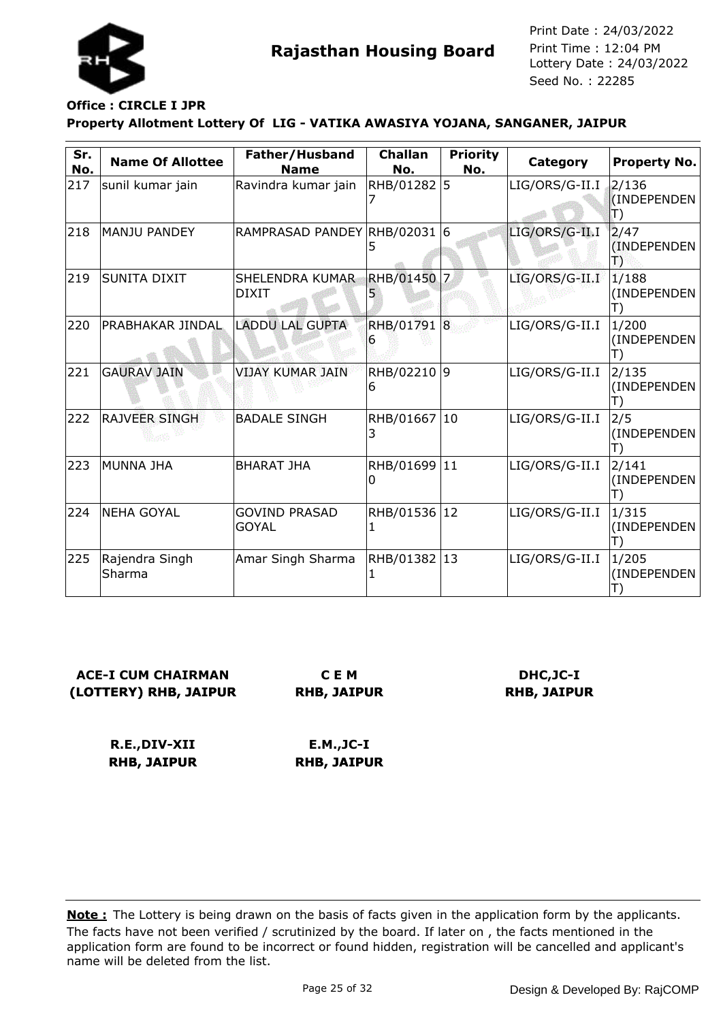

## **Office : CIRCLE I JPR**

#### **Property Allotment Lottery Of LIG - VATIKA AWASIYA YOJANA, SANGANER, JAIPUR**

| Sr.<br>No. | <b>Name Of Allottee</b>  | Father/Husband<br><b>Name</b>          | <b>Challan</b><br>No. | <b>Priority</b><br>No. | Category       | <b>Property No.</b>        |
|------------|--------------------------|----------------------------------------|-----------------------|------------------------|----------------|----------------------------|
| 217        | sunil kumar jain         | Ravindra kumar jain                    | RHB/01282 5           |                        | LIG/ORS/G-II.I | 2/136<br>(INDEPENDEN<br>T) |
| 218        | <b>MANJU PANDEY</b>      | RAMPRASAD PANDEY RHB/02031 6           |                       |                        | LIG/ORS/G-II.I | 2/47<br>(INDEPENDEN<br>鳽   |
| 219        | <b>SUNITA DIXIT</b>      | <b>SHELENDRA KUMAR</b><br><b>DIXIT</b> | <b>RHB/01450</b>      | $\mathbb{Z}$           | LIG/ORS/G-II.I | 1/188<br>(INDEPENDEN       |
| 220        | PRABHAKAR JINDAL         | <b>LADDU LAL GUPTA</b>                 | RHB/01791 8<br>ь      |                        | LIG/ORS/G-II.I | 1/200<br>(INDEPENDEN       |
| 221        | <b>GAURAV JAIN</b>       | VIJAY KUMAR JAIN                       | RHB/02210 9<br>6      |                        | LIG/ORS/G-II.I | 2/135<br>(INDEPENDEN       |
| 222        | <b>RAJVEER SINGH</b>     | <b>BADALE SINGH</b>                    | RHB/01667<br>3        | 10                     | LIG/ORS/G-II.I | 2/5<br>(INDEPENDEN         |
| 223        | <b>MUNNA JHA</b>         | <b>BHARAT JHA</b>                      | RHB/01699 11<br>0     |                        | LIG/ORS/G-II.I | 2/141<br>(INDEPENDEN       |
| 224        | <b>NEHA GOYAL</b>        | <b>GOVIND PRASAD</b><br><b>GOYAL</b>   | RHB/01536<br>1        | 12                     | LIG/ORS/G-II.I | 1/315<br>(INDEPENDEN       |
| 225        | Rajendra Singh<br>Sharma | Amar Singh Sharma                      | RHB/01382 13          |                        | LIG/ORS/G-II.I | 1/205<br>(INDEPENDEN       |

## **ACE-I CUM CHAIRMAN (LOTTERY) RHB, JAIPUR**

**C E M RHB, JAIPUR**

## **DHC,JC-I RHB, JAIPUR**

**R.E.,DIV-XII RHB, JAIPUR E.M.,JC-I RHB, JAIPUR**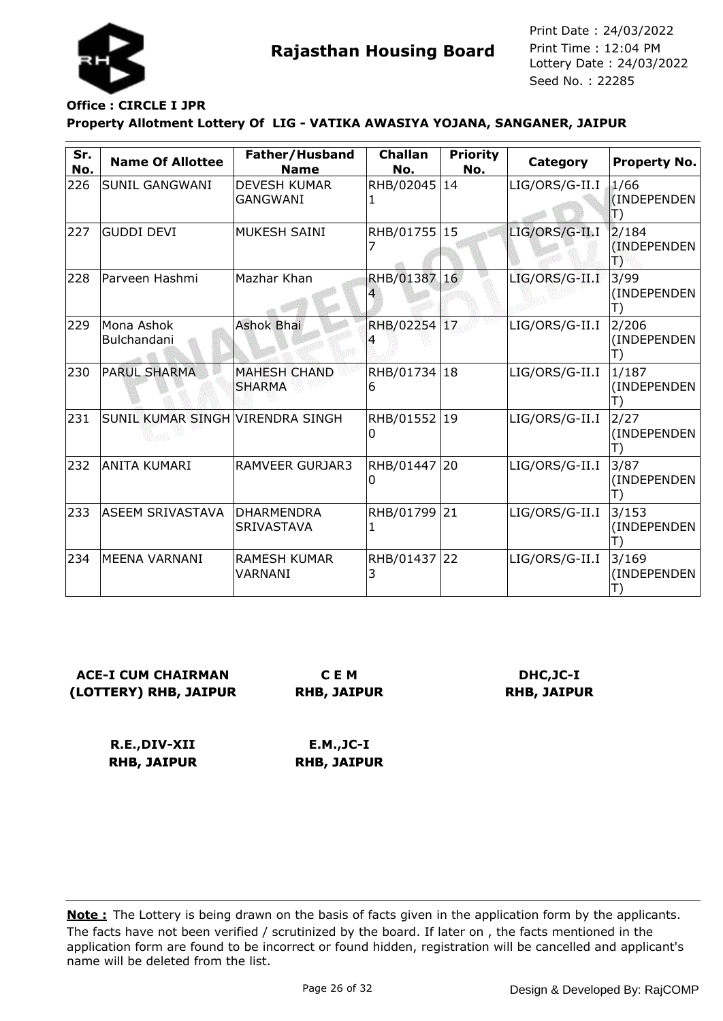

## **Office : CIRCLE I JPR**

#### **Property Allotment Lottery Of LIG - VATIKA AWASIYA YOJANA, SANGANER, JAIPUR**

| Sr.<br>No. | <b>Name Of Allottee</b>          | Father/Husband<br><b>Name</b>          | <b>Challan</b><br>No. | <b>Priority</b><br>No. | Category       | <b>Property No.</b>        |
|------------|----------------------------------|----------------------------------------|-----------------------|------------------------|----------------|----------------------------|
| 226        | <b>SUNIL GANGWANI</b>            | <b>DEVESH KUMAR</b><br><b>GANGWANI</b> | RHB/02045             | 14                     | LIG/ORS/G-II.I | 1/66<br>(INDEPENDEN<br>T)  |
| 227        | <b>GUDDI DEVI</b>                | <b>MUKESH SAINI</b>                    | RHB/01755             | 15                     | LIG/ORS/G-II.I | 2/184<br>(INDEPENDEN<br>Ð  |
| 228        | Parveen Hashmi                   | Mazhar Khan                            | <b>RHB/01387</b>      | 16 <sup>1</sup>        | LIG/ORS/G-II.I | 3/99<br>(INDEPENDEN        |
| 229        | Mona Ashok<br>Bulchandani        | <b>Ashok Bhai</b>                      | RHB/02254 17          |                        | LIG/ORS/G-II.I | 2/206<br>(INDEPENDEN       |
| 230        | <b>PARUL SHARMA</b>              | <b>MAHESH CHAND</b><br><b>SHARMA</b>   | RHB/01734 18<br>6     |                        | LIG/ORS/G-II.I | 1/187<br>(INDEPENDEN<br>T) |
| 231        | SUNIL KUMAR SINGH VIRENDRA SINGH |                                        | RHB/01552<br>0        | 19                     | LIG/ORS/G-II.I | 2/27<br>(INDEPENDEN<br>T)  |
| 232        | lanita kumari                    | <b>RAMVEER GURJAR3</b>                 | RHB/01447<br>0        | 20                     | LIG/ORS/G-II.I | 3/87<br>(INDEPENDEN        |
| 233        | ASEEM SRIVASTAVA                 | <b>DHARMENDRA</b><br><b>SRIVASTAVA</b> | RHB/01799<br>1        | 21                     | LIG/ORS/G-II.I | 3/153<br>(INDEPENDEN       |
| 234        | <b>MEENA VARNANI</b>             | <b>RAMESH KUMAR</b><br>VARNANI         | RHB/01437 22<br>3     |                        | LIG/ORS/G-II.I | 3/169<br>(INDEPENDEN       |

#### **ACE-I CUM CHAIRMAN (LOTTERY) RHB, JAIPUR C E M**

**RHB, JAIPUR**

## **DHC,JC-I RHB, JAIPUR**

**R.E.,DIV-XII RHB, JAIPUR E.M.,JC-I RHB, JAIPUR**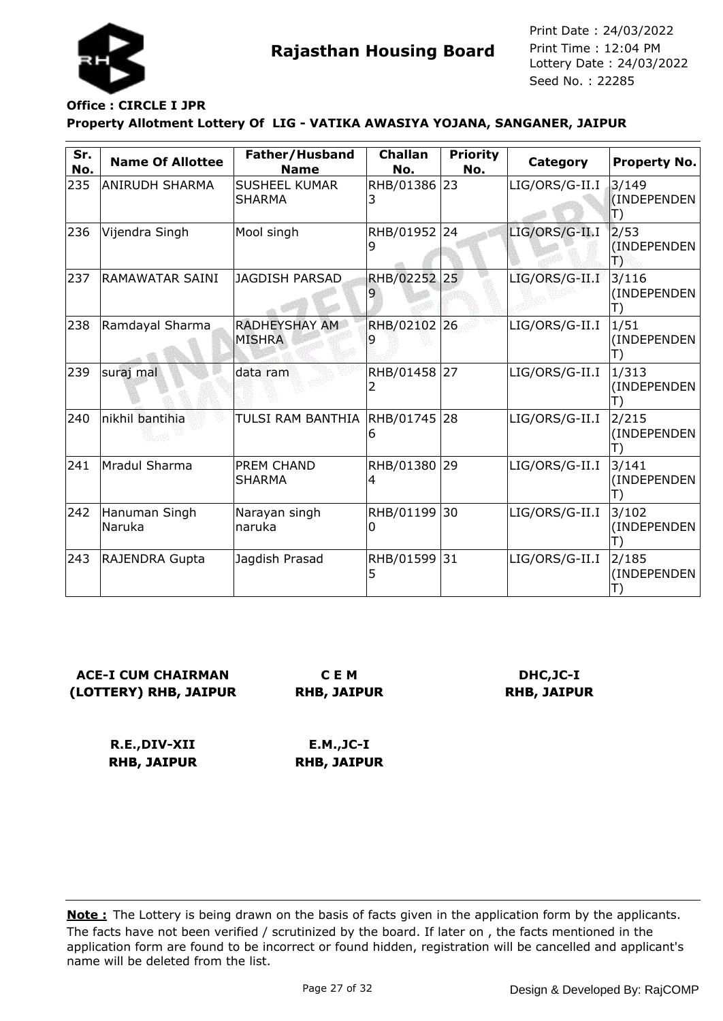

## **Office : CIRCLE I JPR**

#### **Property Allotment Lottery Of LIG - VATIKA AWASIYA YOJANA, SANGANER, JAIPUR**

| Sr.<br>No. | <b>Name Of Allottee</b> | Father/Husband<br><b>Name</b>         | <b>Challan</b><br>No. | <b>Priority</b><br>No. | Category       | <b>Property No.</b>            |
|------------|-------------------------|---------------------------------------|-----------------------|------------------------|----------------|--------------------------------|
| 235        | ANIRUDH SHARMA          | <b>SUSHEEL KUMAR</b><br><b>SHARMA</b> | RHB/01386 23<br>3     |                        | LIG/ORS/G-II.I | 3/149<br>(INDEPENDEN           |
| 236        | Vijendra Singh          | Mool singh                            | RHB/01952 24<br>9     |                        | LIG/ORS/G-II.I | 2/53<br>(INDEPENDEN<br>ТЭ      |
| 237        | <b>RAMAWATAR SAINI</b>  | <b>JAGDISH PARSAD</b>                 | RHB/02252             | 25                     | LIG/ORS/G-II.I | 3/116<br>(INDEPENDEN           |
| 238        | Ramdayal Sharma         | RADHEYSHAY AM<br>MISHRA               | RHB/02102 26          |                        | LIG/ORS/G-II.I | 1/51<br>(INDEPENDEN            |
| 239        | suraj mal               | data ram                              | RHB/01458<br>2        | 27                     | LIG/ORS/G-II.I | 1/313<br>(INDEPENDEN           |
| 240        | nikhil bantihia         | TULSI RAM BANTHIA                     | RHB/01745<br>6        | 28                     | LIG/ORS/G-II.I | 2/215<br>(INDEPENDEN           |
| 241        | Mradul Sharma           | <b>PREM CHAND</b><br><b>SHARMA</b>    | RHB/01380<br>4        | 29                     | LIG/ORS/G-II.I | 3/141<br>(INDEPENDEN           |
| 242        | Hanuman Singh<br>Naruka | Narayan singh<br>naruka               | RHB/01199<br>0        | 30                     | LIG/ORS/G-II.I | 3/102<br>(INDEPENDEN<br>$\Box$ |
| 243        | <b>RAJENDRA Gupta</b>   | Jagdish Prasad                        | RHB/01599<br>5        | 31                     | LIG/ORS/G-II.I | 2/185<br>(INDEPENDEN           |

#### **ACE-I CUM CHAIRMAN (LOTTERY) RHB, JAIPUR C E M**

**RHB, JAIPUR**

## **DHC,JC-I RHB, JAIPUR**

**R.E.,DIV-XII RHB, JAIPUR E.M.,JC-I RHB, JAIPUR**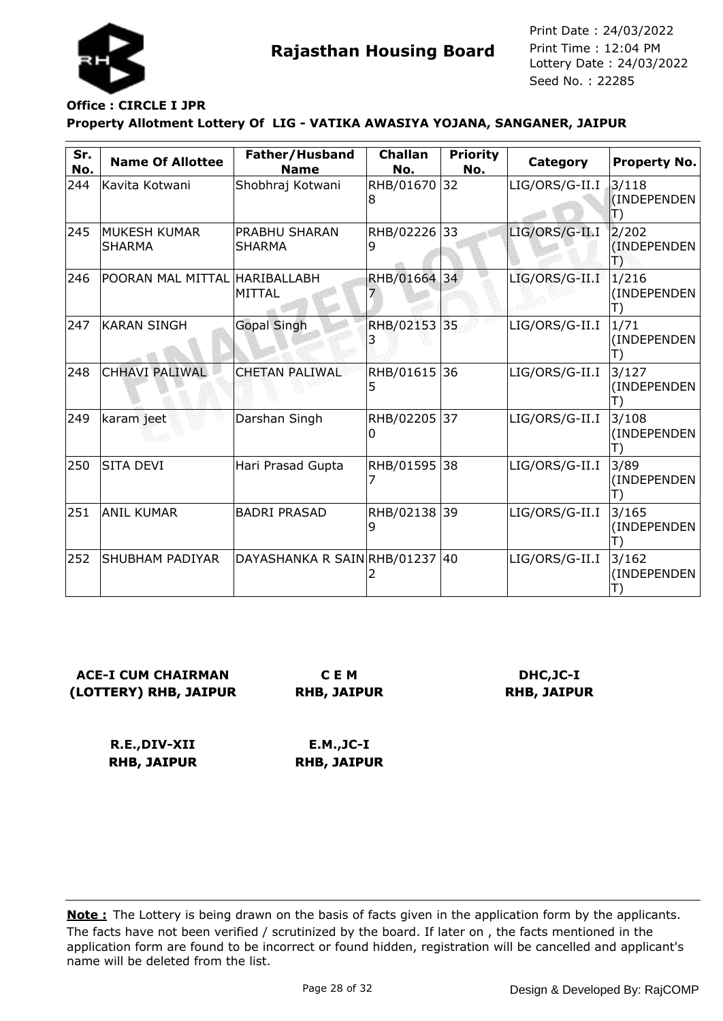

## **Office : CIRCLE I JPR**

#### **Property Allotment Lottery Of LIG - VATIKA AWASIYA YOJANA, SANGANER, JAIPUR**

| Sr.<br>No. | <b>Name Of Allottee</b>              | Father/Husband<br><b>Name</b>  | <b>Challan</b><br>No. | <b>Priority</b><br>No. | Category       | <b>Property No.</b>            |
|------------|--------------------------------------|--------------------------------|-----------------------|------------------------|----------------|--------------------------------|
| 244        | Kavita Kotwani                       | Shobhraj Kotwani               | RHB/01670 32<br>8     |                        | LIG/ORS/G-II.I | 3/118<br>(INDEPENDEN           |
| 245        | <b>MUKESH KUMAR</b><br><b>SHARMA</b> | PRABHU SHARAN<br><b>SHARMA</b> | RHB/02226<br>9        | 33                     | LIG/ORS/G-II.I | 2/202<br>(INDEPENDEN<br>鳵      |
| 246        | POORAN MAL MITTAL                    | HARIBALLABH<br>MITTAL          | RHB/01664             | 34                     | LIG/ORS/G-II.I | 1/216<br>(INDEPENDEN<br>T)     |
| 247        | <b>KARAN SINGH</b>                   | <b>Gopal Singh</b>             | RHB/02153 35          |                        | LIG/ORS/G-II.I | 1/71<br>(INDEPENDEN            |
| 248        | <b>CHHAVI PALIWAL</b>                | <b>CHETAN PALIWAL</b>          | RHB/01615<br>5        | 36                     | LIG/ORS/G-II.I | 3/127<br>(INDEPENDEN           |
| 249        | karam jeet                           | Darshan Singh                  | RHB/02205<br>0        | 37                     | LIG/ORS/G-II.I | 3/108<br>(INDEPENDEN           |
| 250        | <b>SITA DEVI</b>                     | Hari Prasad Gupta              | RHB/01595<br>7        | 38                     | LIG/ORS/G-II.I | 3/89<br>(INDEPENDEN            |
| 251        | <b>ANIL KUMAR</b>                    | <b>BADRI PRASAD</b>            | RHB/02138 39<br>9     |                        | LIG/ORS/G-II.I | 3/165<br>(INDEPENDEN<br>$\Box$ |
| 252        | SHUBHAM PADIYAR                      | DAYASHANKA R SAIN RHB/01237 40 |                       |                        | LIG/ORS/G-II.I | 3/162<br>(INDEPENDEN           |

**ACE-I CUM CHAIRMAN (LOTTERY) RHB, JAIPUR**

**C E M RHB, JAIPUR**

**DHC,JC-I RHB, JAIPUR**

**R.E.,DIV-XII RHB, JAIPUR**

**E.M.,JC-I RHB, JAIPUR**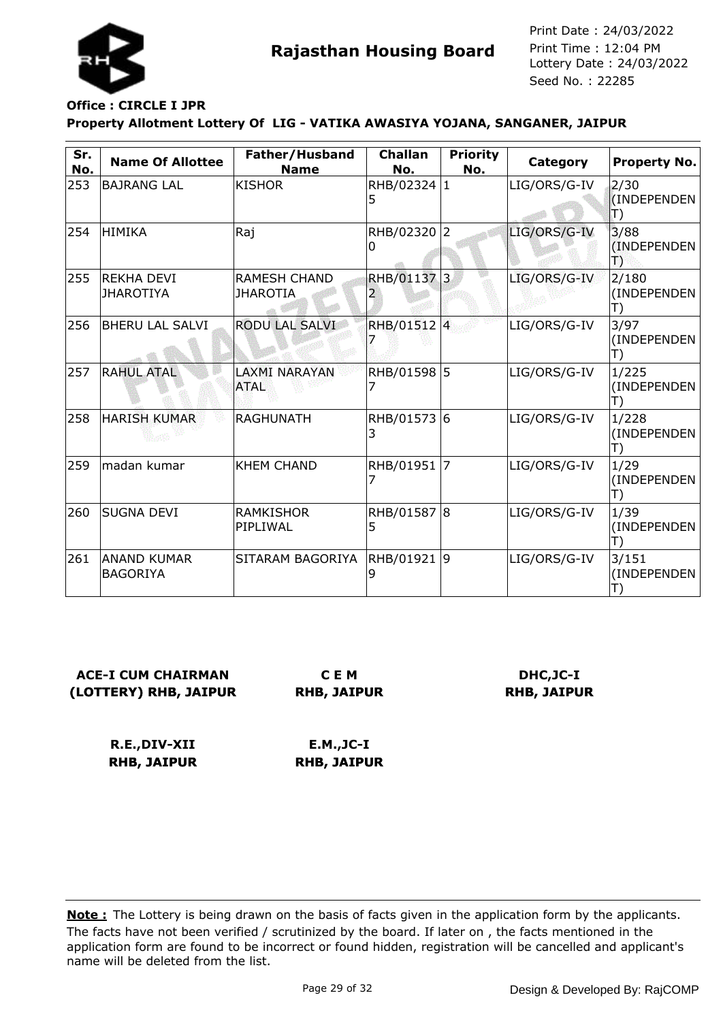

## **Office : CIRCLE I JPR**

**Property Allotment Lottery Of LIG - VATIKA AWASIYA YOJANA, SANGANER, JAIPUR**

| Sr.<br>No. | <b>Name Of Allottee</b>               | Father/Husband<br><b>Name</b>       | <b>Challan</b><br>No. | <b>Priority</b><br>No. | Category     | <b>Property No.</b>                 |
|------------|---------------------------------------|-------------------------------------|-----------------------|------------------------|--------------|-------------------------------------|
| 253        | <b>BAJRANG LAL</b>                    | <b>KISHOR</b>                       | RHB/02324 1<br>5      |                        | LIG/ORS/G-IV | 2/30<br>(INDEPENDEN<br>$\ket{\top}$ |
| 254        | <b>HIMIKA</b>                         | Raj                                 | RHB/02320 2<br>0      |                        | LIG/ORS/G-IV | 3/88<br>(INDEPENDEN<br>B            |
| 255        | <b>REKHA DEVI</b><br><b>JHAROTIYA</b> | <b>RAMESH CHAND</b><br>JHAROTIA     | RHB/01137 3           |                        | LIG/ORS/G-IV | 2/180<br>(INDEPENDEN<br>T)          |
| 256        | <b>BHERU LAL SALVI</b>                | <b>RODU LAL SALVI</b>               | RHB/01512 4           |                        | LIG/ORS/G-IV | 3/97<br>(INDEPENDEN<br>T)           |
| 257        | <b>RAHUL ATAL</b>                     | <b>LAXMI NARAYAN</b><br><b>ATAL</b> | RHB/01598 5           |                        | LIG/ORS/G-IV | 1/225<br>(INDEPENDEN<br>T)          |
| 258        | <b>HARISH KUMAR</b>                   | <b>RAGHUNATH</b>                    | RHB/01573<br>3        | 6                      | LIG/ORS/G-IV | 1/228<br>(INDEPENDEN<br>T)          |
| 259        | madan kumar                           | <b>KHEM CHAND</b>                   | RHB/01951<br>7        | $\overline{7}$         | LIG/ORS/G-IV | 1/29<br>(INDEPENDEN<br>T)           |
| 260        | <b>SUGNA DEVI</b>                     | <b>RAMKISHOR</b><br>PIPLIWAL        | RHB/01587 8<br>5      |                        | LIG/ORS/G-IV | 1/39<br>(INDEPENDEN<br>T)           |
| 261        | <b>ANAND KUMAR</b><br><b>BAGORIYA</b> | SITARAM BAGORIYA                    | RHB/01921 9<br>g      |                        | LIG/ORS/G-IV | 3/151<br>(INDEPENDEN                |

**ACE-I CUM CHAIRMAN (LOTTERY) RHB, JAIPUR**

**C E M RHB, JAIPUR**

**DHC,JC-I RHB, JAIPUR**

**R.E.,DIV-XII RHB, JAIPUR E.M.,JC-I RHB, JAIPUR**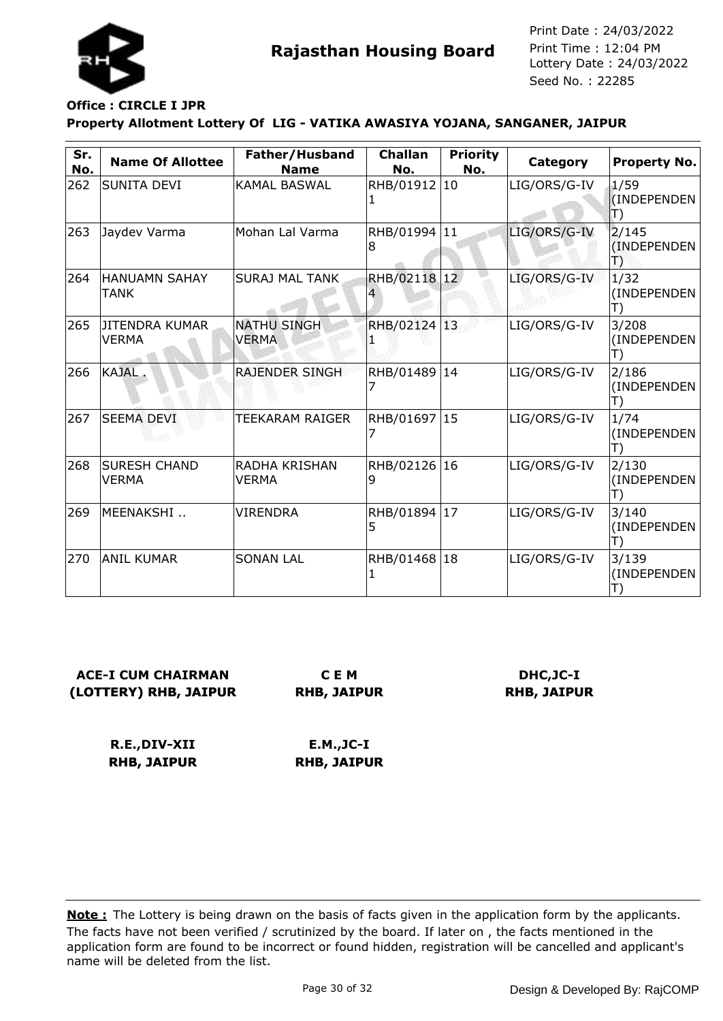

## **Office : CIRCLE I JPR**

**Property Allotment Lottery Of LIG - VATIKA AWASIYA YOJANA, SANGANER, JAIPUR**

| Sr.<br>No. | <b>Name Of Allottee</b>               | Father/Husband<br><b>Name</b>        | <b>Challan</b><br>No. | <b>Priority</b><br>No. | Category     | <b>Property No.</b>        |
|------------|---------------------------------------|--------------------------------------|-----------------------|------------------------|--------------|----------------------------|
| 262        | <b>SUNITA DEVI</b>                    | <b>KAMAL BASWAL</b>                  | RHB/01912 10          |                        | LIG/ORS/G-IV | 1/59<br>(INDEPENDEN<br>T)  |
| 263        | Jaydev Varma                          | Mohan Lal Varma                      | RHB/01994  11<br>18   |                        | LIG/ORS/G-IV | 2/145<br>(INDEPENDEN)<br>Ð |
| 264        | <b>HANUAMN SAHAY</b><br>TANK          | <b>SURAJ MAL TANK</b>                | RHB/02118 12          |                        | LIG/ORS/G-IV | 1/32<br>(INDEPENDEN        |
| 265        | <b>JITENDRA KUMAR</b><br><b>VERMA</b> | <b>NATHU SINGH</b><br><b>VERMA</b>   | RHB/02124 13          |                        | LIG/ORS/G-IV | 3/208<br>(INDEPENDEN       |
| 266        | KAJAL.                                | <b>RAJENDER SINGH</b>                | RHB/01489 14          |                        | LIG/ORS/G-IV | 2/186<br>(INDEPENDEN       |
| 267        | <b>SEEMA DEVI</b>                     | <b>TEEKARAM RAIGER</b>               | RHB/01697  15         |                        | LIG/ORS/G-IV | 1/74<br>(INDEPENDEN        |
| 268        | <b>SURESH CHAND</b><br><b>VERMA</b>   | <b>RADHA KRISHAN</b><br><b>VERMA</b> | RHB/02126 16<br>9     |                        | LIG/ORS/G-IV | 2/130<br>(INDEPENDEN       |
| 269        | MEENAKSHI                             | <b>VIRENDRA</b>                      | RHB/01894 17<br>5     |                        | LIG/ORS/G-IV | 3/140<br>(INDEPENDEN<br>Ð  |
| 270        | ANIL KUMAR                            | <b>SONAN LAL</b>                     | RHB/01468 18          |                        | LIG/ORS/G-IV | 3/139<br>(INDEPENDEN       |

**ACE-I CUM CHAIRMAN (LOTTERY) RHB, JAIPUR**

**C E M RHB, JAIPUR**

**DHC,JC-I RHB, JAIPUR**

**R.E.,DIV-XII RHB, JAIPUR**

**E.M.,JC-I RHB, JAIPUR**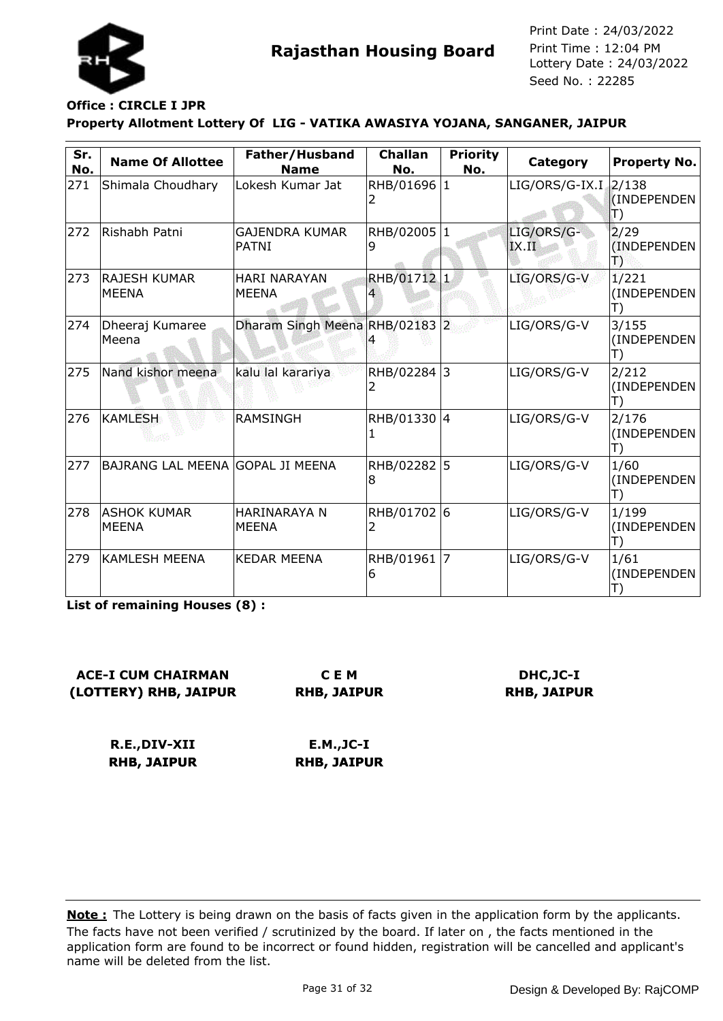

## **Office : CIRCLE I JPR**

### **Property Allotment Lottery Of LIG - VATIKA AWASIYA YOJANA, SANGANER, JAIPUR**

| Sr.<br>No. | <b>Name Of Allottee</b>            | Father/Husband<br><b>Name</b>         | <b>Challan</b><br>No. | <b>Priority</b><br>No. | Category               | <b>Property No.</b>        |
|------------|------------------------------------|---------------------------------------|-----------------------|------------------------|------------------------|----------------------------|
| 271        | Shimala Choudhary                  | Lokesh Kumar Jat                      | RHB/01696             | 1                      | $LIG/ORS/G-IX.I$ 2/138 | (INDEPENDEN<br>T)          |
| 272        | Rishabh Patni                      | <b>GAJENDRA KUMAR</b><br><b>PATNI</b> | RHB/02005 1<br>9      |                        | LIG/ORS/G-<br>IX.II    | 2/29<br>(INDEPENDEN)<br>T) |
| 273        | lRAJESH KUMAR<br><b>MEENA</b>      | <b>HARI NARAYAN</b><br><b>MEENA</b>   | RHB/01712 1<br>4      |                        | LIG/ORS/G-V            | 1/221<br>(INDEPENDEN<br>T) |
| 274        | Dheeraj Kumaree<br>Meena           | Dharam Singh Meena RHB/02183 2        |                       |                        | LIG/ORS/G-V            | 3/155<br>(INDEPENDEN<br>T) |
| 275        | Nand kishor meena                  | kalu lal karariya                     | RHB/02284 3<br>2      |                        | LIG/ORS/G-V            | 2/212<br>(INDEPENDEN<br>T) |
| 276        | KAMLESH                            | <b>RAMSINGH</b>                       | RHB/01330 4<br>1      |                        | LIG/ORS/G-V            | 2/176<br>(INDEPENDEN       |
| 277        | BAJRANG LAL MEENA GOPAL JI MEENA   |                                       | RHB/02282<br>8        | 5                      | LIG/ORS/G-V            | 1/60<br>(INDEPENDEN        |
| 278        | <b>ASHOK KUMAR</b><br><b>MEENA</b> | <b>HARINARAYA N</b><br><b>MEENA</b>   | RHB/01702 6<br>2      |                        | LIG/ORS/G-V            | 1/199<br>(INDEPENDEN<br>T) |
| 279        | <b>KAMLESH MEENA</b>               | <b>KEDAR MEENA</b>                    | RHB/01961<br>6        | $\overline{7}$         | LIG/ORS/G-V            | 1/61<br>(INDEPENDEN        |

**List of remaining Houses (8) :**

| <b>ACE-I CUM CHAIRMAN</b> | <b>CEM</b>         |
|---------------------------|--------------------|
| (LOTTERY) RHB, JAIPUR     | <b>RHB, JAIPUR</b> |

**DHC,JC-I RHB, JAIPUR**

| R.E., DIV-XII | <b>E.M.,JC-I</b>   |
|---------------|--------------------|
| RHB, JAIPUR   | <b>RHB, JAIPUR</b> |